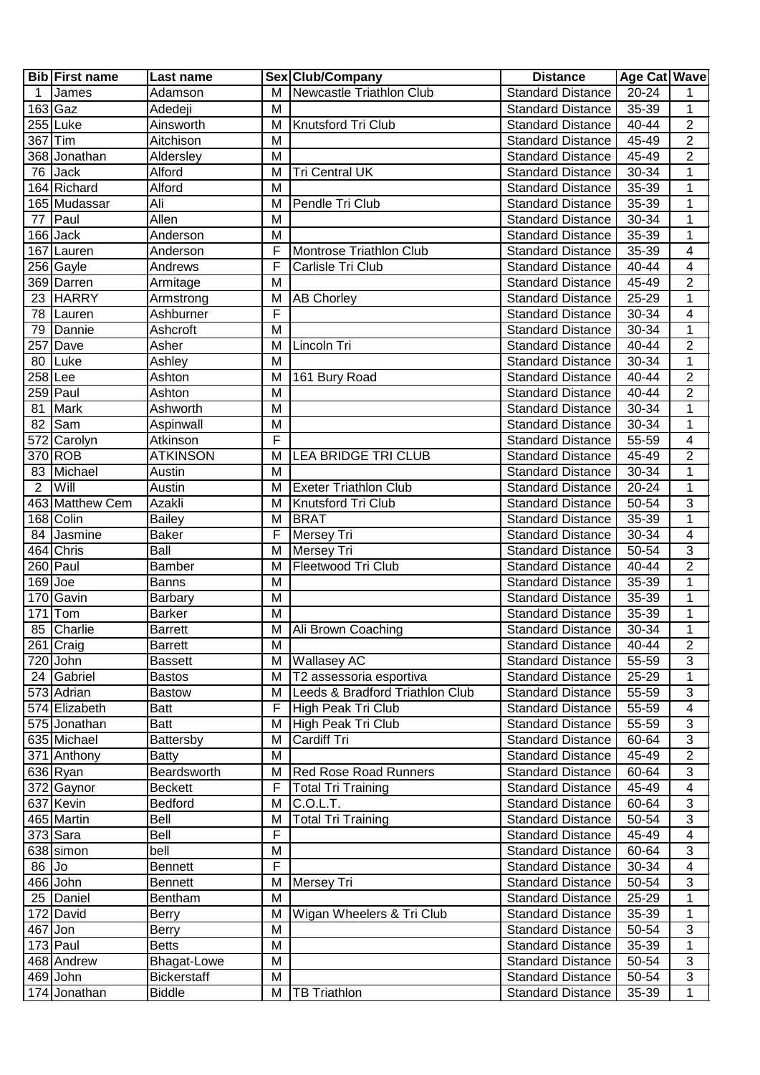|                | <b>Bib</b> First name | Last name          |                | Sex Club/Company                | <b>Distance</b>          | Age Cat   Wave |                  |
|----------------|-----------------------|--------------------|----------------|---------------------------------|--------------------------|----------------|------------------|
| $\mathbf{1}$   | James                 | Adamson            | M              | Newcastle Triathlon Club        | <b>Standard Distance</b> | $20 - 24$      | 1                |
| $163$ Gaz      |                       | Adedeji            | M              |                                 | <b>Standard Distance</b> | 35-39          | $\overline{1}$   |
|                | 255 Luke              | Ainsworth          | M              | Knutsford Tri Club              | <b>Standard Distance</b> | 40-44          | $\overline{2}$   |
| 367 Tim        |                       | Aitchison          | M              |                                 | <b>Standard Distance</b> | 45-49          | $\overline{2}$   |
|                | 368 Jonathan          | Aldersley          | M              |                                 | <b>Standard Distance</b> | 45-49          | $\boldsymbol{2}$ |
|                | 76 Jack               | Alford             | M              | <b>Tri Central UK</b>           | <b>Standard Distance</b> | 30-34          | $\mathbf{1}$     |
|                | 164 Richard           | Alford             | M              |                                 | Standard Distance        | 35-39          | 1                |
|                | 165 Mudassar          | Ali                | M              | Pendle Tri Club                 | <b>Standard Distance</b> | 35-39          | 1                |
| 77             | Paul                  | Allen              | M              |                                 | <b>Standard Distance</b> | 30-34          | 1                |
|                | $166$ Jack            | Anderson           | M              |                                 | <b>Standard Distance</b> | $35 - 39$      | 1                |
|                | 167 Lauren            | Anderson           | F              | Montrose Triathlon Club         | <b>Standard Distance</b> | 35-39          | 4                |
|                | 256 Gayle             | Andrews            | F              | Carlisle Tri Club               | <b>Standard Distance</b> | 40-44          | 4                |
|                | 369 Darren            | Armitage           | M              |                                 | <b>Standard Distance</b> | 45-49          | $\overline{c}$   |
|                | 23 HARRY              |                    |                |                                 |                          | 25-29          | $\mathbf{1}$     |
|                |                       | Armstrong          | M              | <b>AB Chorley</b>               | <b>Standard Distance</b> |                |                  |
|                | 78 Lauren             | Ashburner          | F              |                                 | <b>Standard Distance</b> | 30-34          | 4                |
|                | 79 Dannie             | Ashcroft           | M              |                                 | <b>Standard Distance</b> | 30-34          | $\mathbf{1}$     |
|                | 257 Dave              | Asher              | M              | Lincoln Tri                     | <b>Standard Distance</b> | 40-44          | $\overline{2}$   |
|                | 80 Luke               | Ashley             | M              |                                 | <b>Standard Distance</b> | 30-34          | 1                |
| $258$ Lee      |                       | Ashton             | M              | 161 Bury Road                   | <b>Standard Distance</b> | 40-44          | $\overline{2}$   |
|                | 259 Paul              | Ashton             | M              |                                 | <b>Standard Distance</b> | 40-44          | $\overline{2}$   |
| 81             | Mark                  | Ashworth           | M              |                                 | <b>Standard Distance</b> | 30-34          | 1                |
| 82             | Sam                   | Aspinwall          | M              |                                 | <b>Standard Distance</b> | 30-34          | 1                |
|                | 572 Carolyn           | Atkinson           | F              |                                 | <b>Standard Distance</b> | 55-59          | 4                |
|                | 370 ROB               | <b>ATKINSON</b>    | M              | LEA BRIDGE TRI CLUB             | <b>Standard Distance</b> | 45-49          | $\overline{2}$   |
|                | 83 Michael            | Austin             | м              |                                 | <b>Standard Distance</b> | 30-34          | 1                |
| $\overline{2}$ | <b>Will</b>           | Austin             | M              | <b>Exeter Triathlon Club</b>    | <b>Standard Distance</b> | 20-24          | 1                |
|                | 463 Matthew Cem       | Azakli             | M              | Knutsford Tri Club              | <b>Standard Distance</b> | 50-54          | $\overline{3}$   |
|                | 168 Colin             | <b>Bailey</b>      | M              | <b>BRAT</b>                     | <b>Standard Distance</b> | 35-39          | 1                |
|                | 84 Jasmine            | <b>Baker</b>       | F              | Mersey Tri                      | <b>Standard Distance</b> | 30-34          | 4                |
|                | 464 Chris             | Ball               | M              | Mersey Tri                      | <b>Standard Distance</b> | 50-54          | $\overline{3}$   |
|                | 260 Paul              | <b>Bamber</b>      | M              | Fleetwood Tri Club              | <b>Standard Distance</b> | 40-44          | $\overline{2}$   |
| $169$ Joe      |                       | Banns              | M              |                                 | <b>Standard Distance</b> | 35-39          | 1                |
|                | 170 Gavin             | Barbary            | M              |                                 | <b>Standard Distance</b> | 35-39          | $\mathbf 1$      |
|                | $171$ Tom             | <b>Barker</b>      | M              |                                 | <b>Standard Distance</b> | 35-39          | 1                |
|                | 85 Charlie            | <b>Barrett</b>     | M              | Ali Brown Coaching              | <b>Standard Distance</b> | 30-34          | $\mathbf 1$      |
|                | 261 Craig             | <b>Barrett</b>     | $\overline{M}$ |                                 | <b>Standard Distance</b> | $40 - 44$      | $\overline{2}$   |
|                |                       |                    |                |                                 |                          |                | 3                |
|                | 720 John              | <b>Bassett</b>     | M              | <b>Wallasey AC</b>              | <b>Standard Distance</b> | 55-59          |                  |
|                | 24 Gabriel            | <b>Bastos</b>      | M              | T2 assessoria esportiva         | <b>Standard Distance</b> | 25-29          | 1                |
|                | 573 Adrian            | <b>Bastow</b>      | M              | Leeds & Bradford Triathlon Club | <b>Standard Distance</b> | 55-59          | 3                |
|                | 574 Elizabeth         | Batt               | F              | High Peak Tri Club              | <b>Standard Distance</b> | 55-59          | 4                |
|                | 575 Jonathan          | Batt               | M              | High Peak Tri Club              | <b>Standard Distance</b> | 55-59          | 3                |
|                | 635 Michael           | Battersby          | M              | Cardiff Tri                     | <b>Standard Distance</b> | 60-64          | 3                |
|                | 371 Anthony           | <b>Batty</b>       | M              |                                 | <b>Standard Distance</b> | 45-49          | $\overline{2}$   |
|                | 636 Ryan              | Beardsworth        | M              | <b>Red Rose Road Runners</b>    | <b>Standard Distance</b> | 60-64          | 3                |
|                | 372 Gaynor            | <b>Beckett</b>     | F              | <b>Total Tri Training</b>       | <b>Standard Distance</b> | 45-49          | 4                |
|                | 637 Kevin             | <b>Bedford</b>     | M              | C.O.L.T.                        | <b>Standard Distance</b> | 60-64          | 3                |
|                | 465 Martin            | Bell               | M              | <b>Total Tri Training</b>       | <b>Standard Distance</b> | 50-54          | $\sqrt{3}$       |
|                | 373 Sara              | Bell               | F              |                                 | <b>Standard Distance</b> | 45-49          | 4                |
|                | 638 simon             | bell               | M              |                                 | <b>Standard Distance</b> | 60-64          | 3                |
| $86$ Jo        |                       | <b>Bennett</b>     | F              |                                 | <b>Standard Distance</b> | 30-34          | 4                |
|                | 466 John              | <b>Bennett</b>     | M              | Mersey Tri                      | <b>Standard Distance</b> | 50-54          | $\overline{3}$   |
|                | 25   Daniel           | Bentham            | M              |                                 | <b>Standard Distance</b> | 25-29          | 1                |
|                | 172 David             | <b>Berry</b>       | M              | Wigan Wheelers & Tri Club       | <b>Standard Distance</b> | 35-39          | 1                |
| 467 Jon        |                       | Berry              | M              |                                 | <b>Standard Distance</b> | 50-54          | 3                |
|                | $173$ Paul            | <b>Betts</b>       | M              |                                 | <b>Standard Distance</b> | 35-39          | 1                |
|                | 468 Andrew            | <b>Bhagat-Lowe</b> | M              |                                 | <b>Standard Distance</b> | 50-54          | 3                |
|                | 469 John              | <b>Bickerstaff</b> | M              |                                 | <b>Standard Distance</b> | 50-54          | 3                |
|                | 174 Jonathan          | <b>Biddle</b>      | М              | <b>TB Triathlon</b>             | <b>Standard Distance</b> | 35-39          | 1                |
|                |                       |                    |                |                                 |                          |                |                  |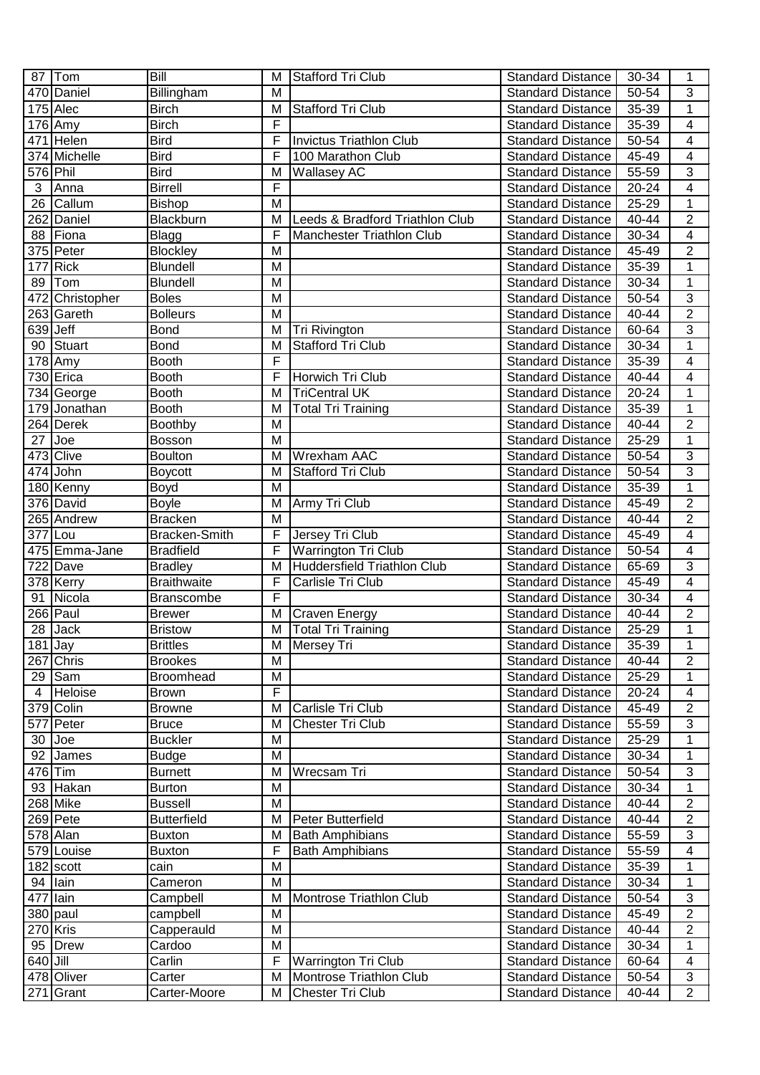|                      | 87   Tom               | Bill               | M                       | Stafford Tri Club                  | <b>Standard Distance</b> | 30-34     | 1                        |
|----------------------|------------------------|--------------------|-------------------------|------------------------------------|--------------------------|-----------|--------------------------|
|                      | 470 Daniel             | Billingham         | M                       |                                    | <b>Standard Distance</b> | 50-54     | 3                        |
|                      | $175$ Alec             | <b>Birch</b>       | M                       | <b>Stafford Tri Club</b>           | <b>Standard Distance</b> | 35-39     | $\mathbf 1$              |
|                      | $176$ Amy              | <b>Birch</b>       | F                       |                                    | <b>Standard Distance</b> | 35-39     | 4                        |
|                      | 471 Helen              | <b>Bird</b>        | F                       | Invictus Triathlon Club            | <b>Standard Distance</b> | 50-54     | $\overline{4}$           |
|                      | 374 Michelle           | <b>Bird</b>        | F                       | 100 Marathon Club                  | <b>Standard Distance</b> | 45-49     | $\overline{\mathcal{A}}$ |
| 576 Phil             |                        | <b>Bird</b>        | M                       | Wallasey AC                        | <b>Standard Distance</b> | 55-59     | $\overline{3}$           |
| $\overline{3}$       | Anna                   | <b>Birrell</b>     | F                       |                                    | <b>Standard Distance</b> | 20-24     | $\overline{\mathcal{A}}$ |
|                      | 26 Callum              | Bishop             | M                       |                                    | <b>Standard Distance</b> | 25-29     | $\overline{1}$           |
|                      | 262 Daniel             | Blackburn          | M                       | Leeds & Bradford Triathlon Club    | <b>Standard Distance</b> | $40 - 44$ | $\overline{2}$           |
|                      | 88 Fiona               | <b>Blagg</b>       | F                       | Manchester Triathlon Club          | <b>Standard Distance</b> | 30-34     | $\overline{4}$           |
|                      | 375 Peter              | <b>Blockley</b>    | M                       |                                    | <b>Standard Distance</b> | 45-49     | $\overline{2}$           |
|                      | $177$ Rick             | <b>Blundell</b>    | M                       |                                    | <b>Standard Distance</b> | 35-39     | $\overline{1}$           |
| 89                   | <b>Tom</b>             | Blundell           | M                       |                                    | <b>Standard Distance</b> | 30-34     | $\overline{1}$           |
|                      | 472 Christopher        | <b>Boles</b>       | M                       |                                    | <b>Standard Distance</b> | 50-54     | $\overline{3}$           |
|                      | 263 Gareth             | <b>Bolleurs</b>    | M                       |                                    | <b>Standard Distance</b> | 40-44     | $\overline{2}$           |
| 639 Jeff             |                        | <b>Bond</b>        | M                       | Tri Rivington                      | <b>Standard Distance</b> | 60-64     | $\overline{3}$           |
|                      | 90 Stuart              | <b>Bond</b>        | M                       | <b>Stafford Tri Club</b>           | <b>Standard Distance</b> | 30-34     | $\overline{1}$           |
|                      | $178$ Amy              | <b>Booth</b>       | F                       |                                    | <b>Standard Distance</b> | 35-39     | $\overline{4}$           |
|                      | 730 Erica              | <b>Booth</b>       | F                       | Horwich Tri Club                   | <b>Standard Distance</b> | 40-44     | $\overline{4}$           |
|                      | 734 George             | <b>Booth</b>       | M                       | <b>TriCentral UK</b>               | <b>Standard Distance</b> | $20 - 24$ | $\mathbf 1$              |
|                      | 179 Jonathan           | <b>Booth</b>       | M                       | <b>Total Tri Training</b>          | <b>Standard Distance</b> | 35-39     | $\mathbf 1$              |
|                      | 264 Derek              | Boothby            | M                       |                                    | <b>Standard Distance</b> | 40-44     | $\overline{c}$           |
| 27                   | Joe                    | Bosson             | M                       |                                    | <b>Standard Distance</b> | 25-29     | $\mathbf{1}$             |
|                      | 473 Clive              | <b>Boulton</b>     | M                       | Wrexham AAC                        | <b>Standard Distance</b> | 50-54     | $\overline{3}$           |
|                      | 474 John               | <b>Boycott</b>     | M                       | <b>Stafford Tri Club</b>           | <b>Standard Distance</b> | 50-54     | $\overline{3}$           |
|                      | 180 Kenny              | Boyd               | M                       |                                    | <b>Standard Distance</b> | 35-39     | $\mathbf 1$              |
|                      | 376 David              | Boyle              | M                       | Army Tri Club                      | <b>Standard Distance</b> | 45-49     | $\overline{2}$           |
|                      | 265 Andrew             | <b>Bracken</b>     | M                       |                                    | <b>Standard Distance</b> | 40-44     | $\overline{2}$           |
| 377 Lou              |                        | Bracken-Smith      | F                       | Jersey Tri Club                    | <b>Standard Distance</b> | 45-49     | $\overline{4}$           |
|                      | 475 Emma-Jane          | <b>Bradfield</b>   | F                       | <b>Warrington Tri Club</b>         | <b>Standard Distance</b> | 50-54     | $\overline{\mathbf{4}}$  |
|                      | $\overline{72}$ 2 Dave | <b>Bradley</b>     | M                       | <b>Huddersfield Triathlon Club</b> | <b>Standard Distance</b> | 65-69     | $\overline{3}$           |
|                      | 378 Kerry              | <b>Braithwaite</b> | F                       | Carlisle Tri Club                  | <b>Standard Distance</b> | 45-49     | $\overline{4}$           |
| 91                   | Nicola                 | Branscombe         | F                       |                                    | <b>Standard Distance</b> | 30-34     | $\overline{4}$           |
|                      | 266 Paul               | <b>Brewer</b>      | M                       | <b>Craven Energy</b>               | <b>Standard Distance</b> | 40-44     | $\overline{2}$           |
| 28                   | <b>Jack</b>            | <b>Bristow</b>     | M                       | <b>Total Tri Training</b>          | <b>Standard Distance</b> | 25-29     | $\mathbf{1}$             |
| $\overline{181}$ Jay |                        | <b>Brittles</b>    | $\overline{\mathsf{M}}$ | Mersey Tri                         | <b>Standard Distance</b> | $35 - 39$ | 1                        |
|                      | 267 Chris              | <b>Brookes</b>     | M                       |                                    | <b>Standard Distance</b> | 40-44     | $\overline{2}$           |
|                      | $29$ Sam               | <b>Broomhead</b>   | M                       |                                    | <b>Standard Distance</b> | 25-29     | 1                        |
| 4                    | Heloise                | <b>Brown</b>       | F                       |                                    | <b>Standard Distance</b> | 20-24     | 4                        |
|                      | 379 Colin              | <b>Browne</b>      | M                       | Carlisle Tri Club                  | <b>Standard Distance</b> | 45-49     | $\overline{2}$           |
|                      | 577 Peter              | <b>Bruce</b>       | M                       | Chester Tri Club                   | <b>Standard Distance</b> | 55-59     | 3                        |
|                      | $30$ Joe               | <b>Buckler</b>     | M                       |                                    | <b>Standard Distance</b> | 25-29     | 1                        |
|                      | 92 James               | <b>Budge</b>       | M                       |                                    | <b>Standard Distance</b> | 30-34     | $\mathbf{1}$             |
| 476 Tim              |                        | <b>Burnett</b>     | м                       | Wrecsam Tri                        | <b>Standard Distance</b> | 50-54     | 3                        |
|                      | 93 Hakan               | <b>Burton</b>      | M                       |                                    | <b>Standard Distance</b> | 30-34     | $\mathbf{1}$             |
|                      | 268 Mike               | <b>Bussell</b>     | M                       |                                    | <b>Standard Distance</b> | 40-44     | $\overline{2}$           |
|                      | $269$ Pete             | <b>Butterfield</b> | M                       | Peter Butterfield                  | <b>Standard Distance</b> | 40-44     | $\overline{2}$           |
|                      | 578 Alan               | <b>Buxton</b>      | M                       | <b>Bath Amphibians</b>             | <b>Standard Distance</b> | 55-59     | 3                        |
|                      | 579 Louise             | <b>Buxton</b>      | F                       | <b>Bath Amphibians</b>             | <b>Standard Distance</b> | 55-59     | $\overline{4}$           |
|                      | $182$ scott            | cain               | M                       |                                    | <b>Standard Distance</b> | 35-39     | 1                        |
|                      | 94 lain                | Cameron            | M                       |                                    | <b>Standard Distance</b> | 30-34     | 1                        |
| 477 lain             |                        | Campbell           | M                       | Montrose Triathlon Club            | <b>Standard Distance</b> | 50-54     | 3                        |
|                      | 380 paul               | campbell           | M                       |                                    | <b>Standard Distance</b> | 45-49     | $\overline{2}$           |
| 270 Kris             |                        | Capperauld         | M                       |                                    | <b>Standard Distance</b> | 40-44     | $\overline{2}$           |
|                      | 95 Drew                | Cardoo             | M                       |                                    | <b>Standard Distance</b> | 30-34     | 1                        |
| 640 Jill             |                        | Carlin             | F                       | Warrington Tri Club                | <b>Standard Distance</b> | 60-64     | 4                        |
|                      | 478 Oliver             | Carter             | M                       | Montrose Triathlon Club            | <b>Standard Distance</b> | 50-54     | $\overline{3}$           |
|                      | 271 Grant              | Carter-Moore       | м                       | Chester Tri Club                   | <b>Standard Distance</b> | 40-44     | $\overline{2}$           |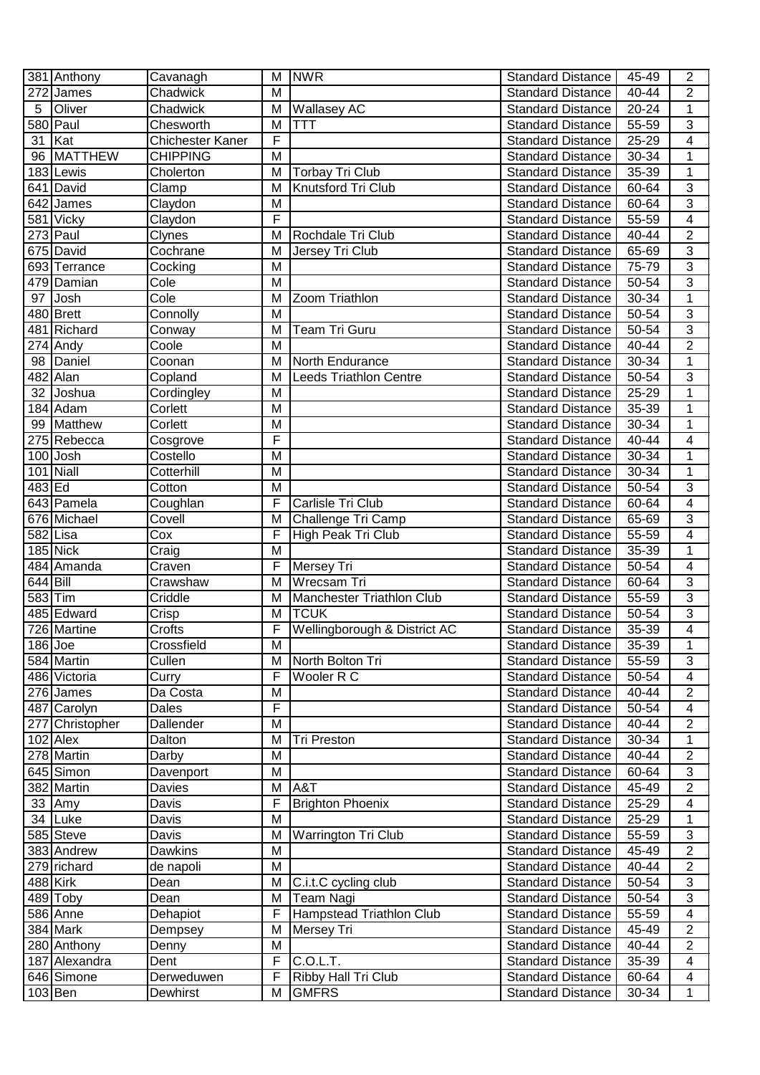|            | 381 Anthony            | Cavanagh         |                         | M NWR                            | <b>Standard Distance</b> | 45-49     | $\overline{2}$ |
|------------|------------------------|------------------|-------------------------|----------------------------------|--------------------------|-----------|----------------|
|            | 272 James              | Chadwick         | M                       |                                  | <b>Standard Distance</b> | 40-44     | 2              |
| 5          | Oliver                 | Chadwick         | M                       | <b>Wallasey AC</b>               | <b>Standard Distance</b> | 20-24     | $\mathbf{1}$   |
|            | $580$ Paul             | Chesworth        | M                       | TTT                              | <b>Standard Distance</b> | 55-59     | 3              |
| 31 $Kat$   |                        | Chichester Kaner | F                       |                                  | <b>Standard Distance</b> | 25-29     | $\overline{4}$ |
|            | 96 MATTHEW             | <b>CHIPPING</b>  | M                       |                                  | <b>Standard Distance</b> | 30-34     | 1              |
|            | 183 Lewis              | Cholerton        | M                       | <b>Torbay Tri Club</b>           | <b>Standard Distance</b> | 35-39     | $\mathbf{1}$   |
|            | 641 David              | Clamp            | M                       | Knutsford Tri Club               | <b>Standard Distance</b> | 60-64     | $\overline{3}$ |
|            | 642 James              | Claydon          | M                       |                                  | <b>Standard Distance</b> | 60-64     | 3              |
|            | 581 Vicky              | Claydon          | F                       |                                  | <b>Standard Distance</b> | 55-59     | 4              |
|            | 273 Paul               | Clynes           | M                       | Rochdale Tri Club                | <b>Standard Distance</b> | $40 - 44$ | $\overline{2}$ |
|            | 675 David              | Cochrane         | M                       | Jersey Tri Club                  | <b>Standard Distance</b> | 65-69     | $\overline{3}$ |
|            | 693 Terrance           | Cocking          | M                       |                                  | <b>Standard Distance</b> | 75-79     | $\overline{3}$ |
|            | 479 Damian             | Cole             | M                       |                                  | <b>Standard Distance</b> | 50-54     | $\overline{3}$ |
| 97         | Josh                   | Cole             | M                       | Zoom Triathlon                   | Standard Distance        | 30-34     | $\mathbf{1}$   |
|            | 480 Brett              | Connolly         | M                       |                                  | <b>Standard Distance</b> | 50-54     | $\overline{3}$ |
|            | 481 Richard            | Conway           | M                       | Team Tri Guru                    | <b>Standard Distance</b> | 50-54     | $\overline{3}$ |
|            | $\overline{27}$ 4 Andy | Coole            | M                       |                                  | <b>Standard Distance</b> | 40-44     | $\overline{2}$ |
|            | 98 Daniel              | Coonan           | M                       | North Endurance                  | <b>Standard Distance</b> | 30-34     | $\mathbf{1}$   |
|            | 482 Alan               | Copland          | M                       | <b>Leeds Triathlon Centre</b>    | <b>Standard Distance</b> | 50-54     | $\overline{3}$ |
| 32         | Joshua                 | Cordingley       | M                       |                                  | <b>Standard Distance</b> | 25-29     | 1              |
|            | 184 Adam               | Corlett          | M                       |                                  | <b>Standard Distance</b> | 35-39     | 1              |
|            | 99 Matthew             | Corlett          | M                       |                                  | <b>Standard Distance</b> | 30-34     | $\mathbf 1$    |
|            | 275 Rebecca            | Cosgrove         | F                       |                                  | <b>Standard Distance</b> | 40-44     | 4              |
|            | 100 Josh               | Costello         | M                       |                                  | <b>Standard Distance</b> | 30-34     | 1              |
|            | 101 Niall              | Cotterhill       | M                       |                                  | <b>Standard Distance</b> | 30-34     | $\mathbf{1}$   |
| 483 Ed     |                        | Cotton           | M                       |                                  | <b>Standard Distance</b> | 50-54     | $\overline{3}$ |
|            | 643 Pamela             | Coughlan         | F                       | Carlisle Tri Club                | <b>Standard Distance</b> | 60-64     | 4              |
|            | 676 Michael            | Covell           | M                       | Challenge Tri Camp               | <b>Standard Distance</b> | 65-69     | $\sqrt{3}$     |
| 582 Lisa   |                        | Cox              | F                       | High Peak Tri Club               | <b>Standard Distance</b> | 55-59     | 4              |
|            | $185$ Nick             | Craig            | M                       |                                  | <b>Standard Distance</b> | 35-39     | $\mathbf{1}$   |
|            | 484 Amanda             | Craven           | F                       | Mersey Tri                       | <b>Standard Distance</b> | 50-54     | 4              |
| $644$ Bill |                        | Crawshaw         | M                       | Wrecsam Tri                      | <b>Standard Distance</b> | 60-64     | $\overline{3}$ |
| 583 Tim    |                        | Criddle          | M                       | <b>Manchester Triathlon Club</b> | <b>Standard Distance</b> | 55-59     | $\overline{3}$ |
|            | 485 Edward             | Crisp            | M                       | <b>TCUK</b>                      | <b>Standard Distance</b> | 50-54     | $\overline{3}$ |
|            | 726 Martine            | Crofts           | F                       | Wellingborough & District AC     | <b>Standard Distance</b> | 35-39     | 4              |
| $186$ Joe  |                        | Crossfield       | $\overline{\mathsf{M}}$ |                                  | Standard Distance        | $35 - 39$ | 1              |
|            | 584 Martin             | Cullen           | M                       | North Bolton Tri                 | <b>Standard Distance</b> | 55-59     | 3              |
|            | 486 Victoria           | Curry            | F                       | Wooler R C                       | <b>Standard Distance</b> | 50-54     | 4              |
|            | 276 James              | Da Costa         | M                       |                                  | <b>Standard Distance</b> | 40-44     | $\overline{2}$ |
|            | 487 Carolyn            | Dales            | F                       |                                  | <b>Standard Distance</b> | 50-54     | 4              |
|            | 277 Christopher        | Dallender        | M                       |                                  | Standard Distance        | 40-44     | $\overline{2}$ |
|            | $102$ Alex             | Dalton           | M                       | <b>Tri Preston</b>               | <b>Standard Distance</b> | 30-34     | 1              |
|            | 278 Martin             | Darby            | M                       |                                  | <b>Standard Distance</b> | 40-44     | $\overline{2}$ |
|            | 645 Simon              | Davenport        | M                       |                                  | <b>Standard Distance</b> | 60-64     | 3              |
|            | 382 Martin             | Davies           | M                       | A&T                              | <b>Standard Distance</b> | 45-49     | $\overline{2}$ |
|            | $33$ Amy               | Davis            | F                       | <b>Brighton Phoenix</b>          | <b>Standard Distance</b> | 25-29     | 4              |
|            | 34 Luke                | Davis            | M                       |                                  | <b>Standard Distance</b> | 25-29     | $\mathbf{1}$   |
|            | 585 Steve              | Davis            | M                       | <b>Warrington Tri Club</b>       | <b>Standard Distance</b> | 55-59     | 3              |
|            | 383 Andrew             | Dawkins          | M                       |                                  | <b>Standard Distance</b> | 45-49     | $\overline{2}$ |
|            | 279 richard            | de napoli        | M                       |                                  | <b>Standard Distance</b> | 40-44     | $\overline{c}$ |
| 488 Kirk   |                        | Dean             | M                       | C.i.t.C cycling club             | <b>Standard Distance</b> | 50-54     | 3              |
|            | 489 Toby               | Dean             | M                       | Team Nagi                        | <b>Standard Distance</b> | 50-54     | 3              |
|            | 586 Anne               | Dehapiot         | F                       | Hampstead Triathlon Club         | <b>Standard Distance</b> | 55-59     | 4              |
|            | 384 Mark               | Dempsey          | M                       | Mersey Tri                       | <b>Standard Distance</b> | 45-49     | $\overline{2}$ |
|            | 280 Anthony            | Denny            | м                       |                                  | <b>Standard Distance</b> | 40-44     | $\overline{2}$ |
|            | 187 Alexandra          | Dent             | F                       | C.O.L.T.                         | <b>Standard Distance</b> | 35-39     | 4              |
|            | 646 Simone             | Derweduwen       | F                       | Ribby Hall Tri Club              | <b>Standard Distance</b> | 60-64     | 4              |
| $103$ Ben  |                        | Dewhirst         | м                       | <b>GMFRS</b>                     | <b>Standard Distance</b> | 30-34     | $\mathbf{1}$   |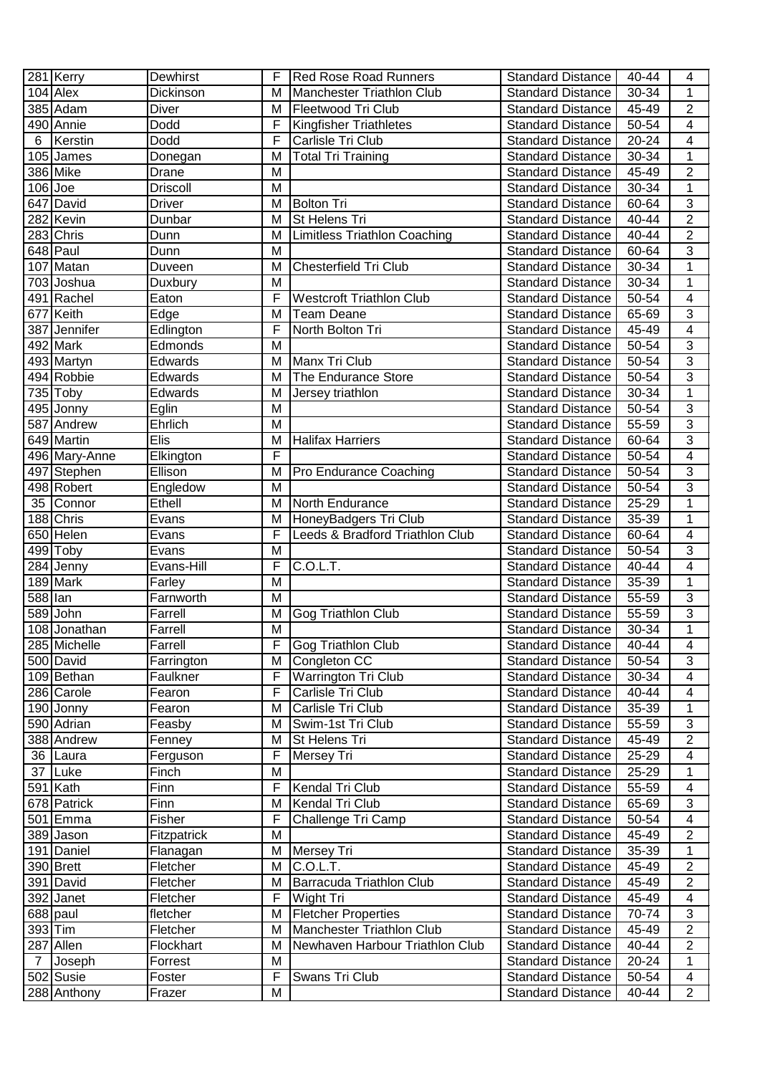|                | 281 Kerry     | Dewhirst        | F | <b>Red Rose Road Runners</b>        | <b>Standard Distance</b> | $40 - 44$ | 4                        |
|----------------|---------------|-----------------|---|-------------------------------------|--------------------------|-----------|--------------------------|
|                | $104$ Alex    | Dickinson       | M | Manchester Triathlon Club           | <b>Standard Distance</b> | 30-34     | $\overline{1}$           |
|                | 385 Adam      | Diver           | M | Fleetwood Tri Club                  | <b>Standard Distance</b> | 45-49     | $\overline{\mathbf{c}}$  |
|                | 490 Annie     | Dodd            | F | <b>Kingfisher Triathletes</b>       | <b>Standard Distance</b> | 50-54     | $\overline{4}$           |
| 6              | Kerstin       | Dodd            | F | Carlisle Tri Club                   | <b>Standard Distance</b> | 20-24     | 4                        |
|                | 105 James     | Donegan         | M | Total Tri Training                  | <b>Standard Distance</b> | 30-34     | $\mathbf{1}$             |
|                | 386 Mike      | Drane           | м |                                     | <b>Standard Distance</b> | 45-49     | $\overline{c}$           |
| $106$ Joe      |               | <b>Driscoll</b> | M |                                     | <b>Standard Distance</b> | 30-34     | $\mathbf{1}$             |
|                | 647 David     | <b>Driver</b>   | м | <b>Bolton Tri</b>                   | <b>Standard Distance</b> | 60-64     | $\overline{3}$           |
|                | 282 Kevin     | Dunbar          | M | St Helens Tri                       | <b>Standard Distance</b> | 40-44     | $\overline{2}$           |
|                | 283 Chris     | Dunn            | M | <b>Limitless Triathlon Coaching</b> | <b>Standard Distance</b> | $40 - 44$ | $\overline{2}$           |
|                | 648 Paul      | Dunn            | M |                                     | <b>Standard Distance</b> | 60-64     | $\overline{3}$           |
|                | 107 Matan     | Duveen          | M | <b>Chesterfield Tri Club</b>        | <b>Standard Distance</b> | 30-34     | 1                        |
|                | 703 Joshua    | Duxbury         | M |                                     | <b>Standard Distance</b> | 30-34     | $\overline{1}$           |
|                | 491 Rachel    | Eaton           | F | <b>Westcroft Triathlon Club</b>     | Standard Distance        | 50-54     | 4                        |
|                | 677 Keith     | Edge            | M | <b>Team Deane</b>                   | <b>Standard Distance</b> | 65-69     | $\overline{3}$           |
|                | 387 Jennifer  | Edlington       | F | North Bolton Tri                    | <b>Standard Distance</b> | 45-49     | $\overline{\mathbf{4}}$  |
|                | 492 Mark      | Edmonds         | M |                                     | <b>Standard Distance</b> | 50-54     | $\overline{3}$           |
|                | 493 Martyn    | Edwards         | M | Manx Tri Club                       | <b>Standard Distance</b> | 50-54     | $\overline{3}$           |
|                | 494 Robbie    | Edwards         | M | The Endurance Store                 | <b>Standard Distance</b> | 50-54     | $\overline{3}$           |
|                | $735$ Toby    | Edwards         | M | Jersey triathlon                    | <b>Standard Distance</b> | 30-34     | $\mathbf 1$              |
|                | 495 Jonny     | Eglin           | M |                                     | <b>Standard Distance</b> | 50-54     | $\overline{3}$           |
|                | 587 Andrew    | Ehrlich         | M |                                     | <b>Standard Distance</b> | 55-59     | $\overline{3}$           |
|                | 649 Martin    | Elis            | M | <b>Halifax Harriers</b>             | <b>Standard Distance</b> | 60-64     | 3                        |
|                | 496 Mary-Anne | Elkington       | F |                                     | <b>Standard Distance</b> | 50-54     | $\overline{\mathbf{4}}$  |
|                | 497 Stephen   | Ellison         | M | Pro Endurance Coaching              | <b>Standard Distance</b> | 50-54     | $\overline{3}$           |
|                | 498 Robert    | Engledow        | M |                                     | <b>Standard Distance</b> | 50-54     | $\overline{3}$           |
|                | 35 Connor     | Ethell          | M | North Endurance                     | <b>Standard Distance</b> | 25-29     | $\mathbf 1$              |
|                | 188 Chris     | Evans           | M | HoneyBadgers Tri Club               | <b>Standard Distance</b> | 35-39     | $\mathbf 1$              |
|                | 650 Helen     | Evans           | F | Leeds & Bradford Triathlon Club     | <b>Standard Distance</b> | 60-64     | $\overline{\mathbf{4}}$  |
|                | $499$ Toby    | Evans           | M |                                     | <b>Standard Distance</b> | 50-54     | $\overline{3}$           |
|                | 284 Jenny     | Evans-Hill      | F | C.O.L.T.                            | <b>Standard Distance</b> | 40-44     | $\overline{\mathbf{4}}$  |
|                | 189 Mark      | Farley          | M |                                     | <b>Standard Distance</b> | 35-39     | $\mathbf{1}$             |
| 588 lan        |               | Farnworth       | M |                                     | <b>Standard Distance</b> | 55-59     | 3                        |
|                | 589 John      | Farrell         | M | Gog Triathlon Club                  | <b>Standard Distance</b> | 55-59     | $\overline{3}$           |
|                | 108 Jonathan  | Farrell         | M |                                     | <b>Standard Distance</b> | 30-34     | $\mathbf 1$              |
|                | 285 Michelle  | Farrell         | F | Gog Triathlon Club                  | <b>Standard Distance</b> | $40 - 44$ | $\overline{4}$           |
|                | 500 David     | Farrington      | M | Congleton CC                        | <b>Standard Distance</b> | 50-54     | 3                        |
|                | 109 Bethan    | Faulkner        | F | Warrington Tri Club                 | <b>Standard Distance</b> | 30-34     | 4                        |
|                | 286 Carole    | Fearon          | F | Carlisle Tri Club                   | <b>Standard Distance</b> | 40-44     | 4                        |
|                | 190 Jonny     | Fearon          | M | Carlisle Tri Club                   | <b>Standard Distance</b> | 35-39     | 1                        |
|                | 590 Adrian    | Feasby          | M | Swim-1st Tri Club                   | <b>Standard Distance</b> | 55-59     | 3                        |
|                | 388 Andrew    | Fenney          | M | St Helens Tri                       | <b>Standard Distance</b> | 45-49     | $\overline{2}$           |
|                | 36 Laura      | Ferguson        | F | Mersey Tri                          | <b>Standard Distance</b> | 25-29     | $\overline{\mathbf{4}}$  |
| 37             | Luke          | Finch           | M |                                     | <b>Standard Distance</b> | 25-29     | $\mathbf{1}$             |
|                | $591$ Kath    | Finn            | F | Kendal Tri Club                     | <b>Standard Distance</b> | 55-59     | 4                        |
|                | 678 Patrick   | Finn            | M | Kendal Tri Club                     | <b>Standard Distance</b> | 65-69     | $\overline{3}$           |
|                | 501 Emma      | Fisher          | F | Challenge Tri Camp                  | <b>Standard Distance</b> | 50-54     | $\overline{\mathcal{A}}$ |
|                | 389 Jason     | Fitzpatrick     | M |                                     | <b>Standard Distance</b> | 45-49     | $\overline{2}$           |
|                | 191 Daniel    | Flanagan        | M | Mersey Tri                          | <b>Standard Distance</b> | 35-39     | 1                        |
|                | 390 Brett     | Fletcher        | M | C.0.L.T.                            | <b>Standard Distance</b> | 45-49     | $\overline{2}$           |
|                | 391 David     | Fletcher        | M | Barracuda Triathlon Club            | <b>Standard Distance</b> | 45-49     | 2                        |
|                | 392 Janet     | Fletcher        | F | Wight Tri                           | <b>Standard Distance</b> | 45-49     | $\overline{4}$           |
|                | 688 paul      | fletcher        | M | <b>Fletcher Properties</b>          | <b>Standard Distance</b> | 70-74     | 3                        |
| 393 Tim        |               | Fletcher        | M | Manchester Triathlon Club           | <b>Standard Distance</b> | 45-49     | $\overline{2}$           |
|                | 287 Allen     | Flockhart       | M | Newhaven Harbour Triathlon Club     | <b>Standard Distance</b> | 40-44     | $\overline{2}$           |
| $\overline{7}$ | Joseph        | Forrest         | м |                                     | <b>Standard Distance</b> | 20-24     | $\mathbf 1$              |
|                | 502 Susie     | Foster          | F | Swans Tri Club                      | <b>Standard Distance</b> | 50-54     | 4                        |
|                | $288$ Anthony | Frazer          | M |                                     | <b>Standard Distance</b> | 40-44     | $\overline{2}$           |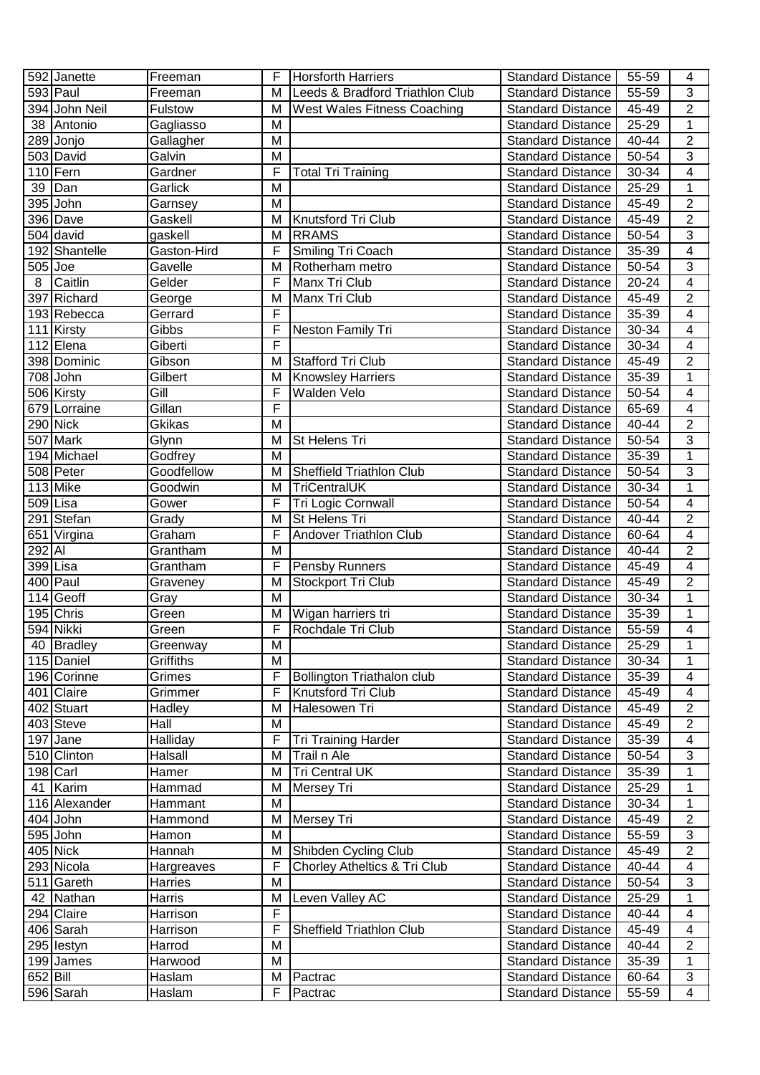|             | 592 Janette   | Freeman     | F              | <b>Horsforth Harriers</b>       | <b>Standard Distance</b> | 55-59     | 4                         |
|-------------|---------------|-------------|----------------|---------------------------------|--------------------------|-----------|---------------------------|
|             | 593 Paul      | Freeman     | M              | Leeds & Bradford Triathlon Club | <b>Standard Distance</b> | 55-59     | $\overline{3}$            |
|             | 394 John Neil | Fulstow     | M              | West Wales Fitness Coaching     | <b>Standard Distance</b> | 45-49     | $\overline{2}$            |
|             | 38 Antonio    | Gagliasso   | M              |                                 | <b>Standard Distance</b> | 25-29     | 1                         |
|             | 289 Jonjo     | Gallagher   | M              |                                 | <b>Standard Distance</b> | 40-44     | $\overline{2}$            |
|             | 503 David     | Galvin      | M              |                                 | <b>Standard Distance</b> | 50-54     | $\overline{3}$            |
|             | 110 Fern      | Gardner     | F              | <b>Total Tri Training</b>       | <b>Standard Distance</b> | 30-34     | $\overline{\mathbf{4}}$   |
|             | 39 Dan        | Garlick     | M              |                                 | <b>Standard Distance</b> | 25-29     | 1                         |
|             | $395$ John    | Garnsey     | M              |                                 | <b>Standard Distance</b> | 45-49     | $\overline{2}$            |
|             | 396 Dave      | Gaskell     | M              | Knutsford Tri Club              | <b>Standard Distance</b> | 45-49     | $\overline{2}$            |
|             | 504 david     | gaskell     | M              | <b>RRAMS</b>                    | <b>Standard Distance</b> | $50 - 54$ | $\overline{3}$            |
|             | 192 Shantelle | Gaston-Hird | F              | <b>Smiling Tri Coach</b>        | <b>Standard Distance</b> | 35-39     | $\overline{4}$            |
| $505$ Joe   |               | Gavelle     | M              | Rotherham metro                 | <b>Standard Distance</b> | 50-54     | $\overline{3}$            |
| 8           | Caitlin       | Gelder      | F              | <b>Manx Tri Club</b>            | <b>Standard Distance</b> | 20-24     | $\overline{4}$            |
|             | 397 Richard   | George      | M              | Manx Tri Club                   | <b>Standard Distance</b> | 45-49     | $\overline{2}$            |
|             | 193 Rebecca   | Gerrard     | F              |                                 | <b>Standard Distance</b> | 35-39     | $\overline{\mathcal{A}}$  |
|             | 111 Kirsty    | Gibbs       | F              | Neston Family Tri               | <b>Standard Distance</b> | 30-34     | $\overline{\mathbf{4}}$   |
|             | 112 Elena     | Giberti     | F              |                                 | <b>Standard Distance</b> | 30-34     | $\overline{4}$            |
|             | 398 Dominic   | Gibson      | M              | Stafford Tri Club               | <b>Standard Distance</b> | 45-49     | $\overline{2}$            |
|             | 708 John      | Gilbert     | M              | <b>Knowsley Harriers</b>        | <b>Standard Distance</b> | 35-39     | 1                         |
|             | 506 Kirsty    | Gill        | F              | Walden Velo                     | <b>Standard Distance</b> | 50-54     | 4                         |
|             | 679 Lorraine  | Gillan      | F              |                                 | <b>Standard Distance</b> | 65-69     | $\overline{\mathbf{4}}$   |
|             | 290 Nick      | Gkikas      | M              |                                 | <b>Standard Distance</b> | 40-44     | $\overline{2}$            |
|             | 507 Mark      | Glynn       | M              | St Helens Tri                   | <b>Standard Distance</b> | 50-54     | 3                         |
|             | 194 Michael   | Godfrey     | м              |                                 | <b>Standard Distance</b> | 35-39     | $\mathbf 1$               |
|             | 508 Peter     | Goodfellow  | M              | Sheffield Triathlon Club        | <b>Standard Distance</b> | 50-54     | $\overline{3}$            |
|             | $113$ Mike    | Goodwin     | M              | <b>TriCentralUK</b>             | <b>Standard Distance</b> | 30-34     | $\mathbf 1$               |
| 509 Lisa    |               | Gower       | F              | Tri Logic Cornwall              | <b>Standard Distance</b> | 50-54     | $\overline{\mathbf{4}}$   |
|             | 291 Stefan    | Grady       | M              | St Helens Tri                   | <b>Standard Distance</b> | 40-44     | $\boldsymbol{2}$          |
|             | 651 Virgina   | Graham      | F              | Andover Triathlon Club          | <b>Standard Distance</b> | 60-64     | $\overline{4}$            |
| 292 AI      |               | Grantham    | M              |                                 | <b>Standard Distance</b> | 40-44     | $\overline{2}$            |
| 399 Lisa    |               | Grantham    | F              | Pensby Runners                  | <b>Standard Distance</b> | 45-49     | $\overline{\mathbf{4}}$   |
|             | 400 Paul      | Graveney    | M              | Stockport Tri Club              | <b>Standard Distance</b> | 45-49     | $\overline{2}$            |
|             | $114$ Geoff   | Gray        | M              |                                 | <b>Standard Distance</b> | 30-34     | $\overline{1}$            |
|             | 195 Chris     | Green       | M              | Wigan harriers tri              | <b>Standard Distance</b> | 35-39     | $\mathbf 1$               |
|             | 594 Nikki     | Green       | F              | Rochdale Tri Club               | <b>Standard Distance</b> | 55-59     | 4                         |
|             | 40 Bradley    | Greenway    | $\overline{M}$ |                                 | Standard Distance        | $25 - 29$ | 1                         |
|             | 115 Daniel    | Griffiths   | M              |                                 | <b>Standard Distance</b> | 30-34     | 1                         |
|             | 196 Corinne   | Grimes      | F              | Bollington Triathalon club      | <b>Standard Distance</b> | 35-39     | 4                         |
|             | 401 Claire    | Grimmer     | F              | Knutsford Tri Club              | <b>Standard Distance</b> | 45-49     | 4                         |
|             | 402 Stuart    | Hadley      | M              | Halesowen Tri                   | <b>Standard Distance</b> | 45-49     | $\overline{2}$            |
|             | 403 Steve     | Hall        | M              |                                 | <b>Standard Distance</b> | 45-49     | $\overline{2}$            |
|             | $197$ Jane    | Halliday    | F              | <b>Tri Training Harder</b>      | <b>Standard Distance</b> | 35-39     | $\overline{\mathbf{4}}$   |
|             | 510 Clinton   | Halsall     | M              | Trail n Ale                     | <b>Standard Distance</b> | 50-54     | 3                         |
|             | 198 Carl      | Hamer       | M              | <b>Tri Central UK</b>           | <b>Standard Distance</b> | 35-39     | 1                         |
|             | 41 Karim      | Hammad      | M              | <b>Mersey Tri</b>               | <b>Standard Distance</b> | 25-29     | $\mathbf{1}$              |
|             | 116 Alexander | Hammant     | M              |                                 | <b>Standard Distance</b> | 30-34     | 1                         |
|             | $404$ John    | Hammond     | M              | Mersey Tri                      | <b>Standard Distance</b> | 45-49     | $\overline{2}$            |
|             | 595 John      | Hamon       | M              |                                 | <b>Standard Distance</b> | 55-59     | $\ensuremath{\mathsf{3}}$ |
|             | $405$ Nick    | Hannah      | M              | Shibden Cycling Club            | <b>Standard Distance</b> | 45-49     | $\overline{2}$            |
|             | 293 Nicola    | Hargreaves  | F              | Chorley Atheltics & Tri Club    | <b>Standard Distance</b> | 40-44     | $\overline{\mathcal{A}}$  |
|             | 511 Gareth    | Harries     | M              |                                 | <b>Standard Distance</b> | 50-54     | 3                         |
|             | 42 Nathan     | Harris      | M              | Leven Valley AC                 | <b>Standard Distance</b> | 25-29     | 1                         |
|             | 294 Claire    | Harrison    | F              |                                 | <b>Standard Distance</b> | 40-44     | 4                         |
|             | 406 Sarah     | Harrison    | F              | Sheffield Triathlon Club        | <b>Standard Distance</b> | 45-49     | 4                         |
|             | 295 lestyn    | Harrod      | M              |                                 | <b>Standard Distance</b> | 40-44     | $\overline{2}$            |
|             | 199 James     | Harwood     | M              |                                 | <b>Standard Distance</b> | 35-39     | 1                         |
| $652$  Bill |               | Haslam      | M              | Pactrac                         | <b>Standard Distance</b> | 60-64     | 3                         |
|             | 596 Sarah     | Haslam      | F              | Pactrac                         | <b>Standard Distance</b> | 55-59     | $\overline{4}$            |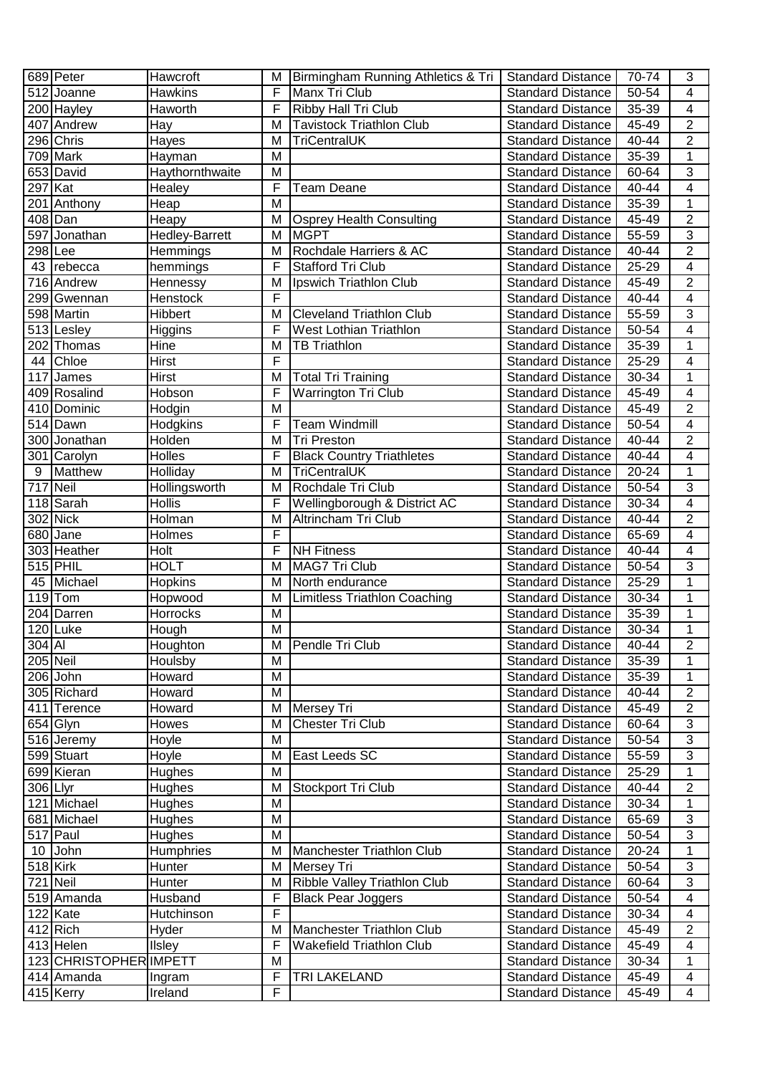|                       | 689 Peter              | Hawcroft              | M              | Birmingham Running Athletics & Tri   Standard Distance |                          | 70-74     | 3                       |
|-----------------------|------------------------|-----------------------|----------------|--------------------------------------------------------|--------------------------|-----------|-------------------------|
|                       | 512 Joanne             | <b>Hawkins</b>        | F              | Manx Tri Club                                          | <b>Standard Distance</b> | 50-54     | 4                       |
|                       | 200 Hayley             | Haworth               | F              | Ribby Hall Tri Club                                    | <b>Standard Distance</b> | 35-39     | $\overline{4}$          |
|                       | 407 Andrew             | Hay                   | M              | <b>Tavistock Triathlon Club</b>                        | <b>Standard Distance</b> | 45-49     | $\overline{2}$          |
|                       | 296 Chris              | Hayes                 | M              | <b>TriCentralUK</b>                                    | <b>Standard Distance</b> | 40-44     | $\overline{2}$          |
|                       | 709 Mark               | Hayman                | M              |                                                        | <b>Standard Distance</b> | 35-39     | $\mathbf 1$             |
|                       | 653 David              | Haythornthwaite       | M              |                                                        | <b>Standard Distance</b> | 60-64     | 3                       |
| 297 Kat               |                        | <b>Healey</b>         | F              | <b>Team Deane</b>                                      | Standard Distance        | 40-44     | $\overline{\mathbf{4}}$ |
|                       | 201 Anthony            | Heap                  | M              |                                                        | <b>Standard Distance</b> | $35 - 39$ | $\mathbf{1}$            |
|                       | 408 Dan                | Heapy                 | M              | Osprey Health Consulting                               | <b>Standard Distance</b> | 45-49     | $\overline{2}$          |
|                       | 597 Jonathan           | <b>Hedley-Barrett</b> | M              | <b>MGPT</b>                                            | <b>Standard Distance</b> | 55-59     | $\overline{3}$          |
| $298$  Lee            |                        | Hemmings              | M              | Rochdale Harriers & AC                                 | <b>Standard Distance</b> | 40-44     | $\overline{2}$          |
|                       | 43 rebecca             | hemmings              | F              | <b>Stafford Tri Club</b>                               | <b>Standard Distance</b> | 25-29     | $\overline{4}$          |
|                       | 716 Andrew             | <b>Hennessy</b>       | M              | Ipswich Triathlon Club                                 | Standard Distance        | 45-49     | $\overline{2}$          |
|                       | 299 Gwennan            | Henstock              | F              |                                                        | Standard Distance        | 40-44     | $\overline{4}$          |
|                       | 598 Martin             | Hibbert               | M              | <b>Cleveland Triathlon Club</b>                        | <b>Standard Distance</b> | 55-59     | $\overline{3}$          |
|                       | 513 Lesley             | Higgins               | F              | West Lothian Triathlon                                 | <b>Standard Distance</b> | 50-54     | 4                       |
|                       | 202 Thomas             | Hine                  | M              | <b>TB Triathlon</b>                                    | <b>Standard Distance</b> | 35-39     | $\mathbf{1}$            |
| 44                    | Chloe                  | <b>Hirst</b>          | F              |                                                        | <b>Standard Distance</b> | 25-29     | $\overline{\mathbf{4}}$ |
| 117                   | James                  | Hirst                 | M              | <b>Total Tri Training</b>                              | <b>Standard Distance</b> | 30-34     | $\mathbf{1}$            |
|                       | 409 Rosalind           | Hobson                | F              | <b>Warrington Tri Club</b>                             | <b>Standard Distance</b> | 45-49     | $\overline{\mathbf{4}}$ |
|                       | 410 Dominic            | Hodgin                | M              |                                                        | <b>Standard Distance</b> | 45-49     | $\overline{2}$          |
|                       | 514 Dawn               | Hodgkins              | F              | <b>Team Windmill</b>                                   | <b>Standard Distance</b> | 50-54     | $\overline{\mathbf{4}}$ |
|                       | 300 Jonathan           | Holden                | M              | <b>Tri Preston</b>                                     | <b>Standard Distance</b> | 40-44     | $\overline{2}$          |
|                       | 301 Carolyn            | Holles                | F              | <b>Black Country Triathletes</b>                       | <b>Standard Distance</b> | 40-44     | $\overline{\mathbf{4}}$ |
| 9                     | Matthew                | Holliday              | M              | TriCentralUK                                           | <b>Standard Distance</b> | 20-24     | $\mathbf{1}$            |
| $\overline{717}$ Neil |                        | Hollingsworth         | M              | Rochdale Tri Club                                      | <b>Standard Distance</b> | 50-54     | $\overline{3}$          |
|                       | 118 Sarah              | <b>Hollis</b>         | F              | Wellingborough & District AC                           | <b>Standard Distance</b> | 30-34     | $\overline{\mathbf{4}}$ |
|                       | 302 Nick               | Holman                | M              | Altrincham Tri Club                                    | <b>Standard Distance</b> | 40-44     | $\overline{2}$          |
|                       | 680 Jane               | Holmes                | F              |                                                        | <b>Standard Distance</b> | 65-69     | $\overline{\mathbf{4}}$ |
|                       | 303 Heather            | Holt                  | F              | <b>NH</b> Fitness                                      | <b>Standard Distance</b> | 40-44     | $\overline{\mathbf{4}}$ |
|                       | 515 PHIL               | <b>HOLT</b>           | M              | MAG7 Tri Club                                          | <b>Standard Distance</b> | 50-54     | $\overline{3}$          |
|                       | 45 Michael             | Hopkins               | M              | North endurance                                        | <b>Standard Distance</b> | 25-29     | 1                       |
|                       | $119$ Tom              | Hopwood               | M              | <b>Limitless Triathlon Coaching</b>                    | <b>Standard Distance</b> | 30-34     | $\mathbf{1}$            |
|                       | 204 Darren             | Horrocks              | M              |                                                        | <b>Standard Distance</b> | 35-39     | $\mathbf 1$             |
|                       | 120Luke                | Hough                 | M              |                                                        | <b>Standard Distance</b> | 30-34     | 1                       |
| $304$ AI              |                        | Houghton              | $\overline{M}$ | Pendle Tri Club                                        | <b>Standard Distance</b> | $40 - 44$ | 2                       |
| $205$ Neil            |                        | Houlsby               | M              |                                                        | <b>Standard Distance</b> | 35-39     | 1                       |
|                       | 206 John               | Howard                | M              |                                                        | <b>Standard Distance</b> | 35-39     | 1                       |
|                       | 305 Richard            | Howard                | M              |                                                        | <b>Standard Distance</b> | 40-44     | $\overline{2}$          |
|                       | 411 Terence            | Howard                | M              | Mersey Tri                                             | <b>Standard Distance</b> | 45-49     | $\overline{2}$          |
|                       | $654$ Glyn             | Howes                 | M              | Chester Tri Club                                       | <b>Standard Distance</b> | 60-64     | 3                       |
|                       | 516 Jeremy             | Hoyle                 | M              |                                                        | <b>Standard Distance</b> | 50-54     | $\sqrt{3}$              |
|                       | 599 Stuart             | Hoyle                 | M              | East Leeds SC                                          | <b>Standard Distance</b> | 55-59     | 3                       |
|                       | 699 Kieran             | <b>Hughes</b>         | M              |                                                        | <b>Standard Distance</b> | 25-29     | 1                       |
| 306 Llyr              |                        | <b>Hughes</b>         | M              | Stockport Tri Club                                     | <b>Standard Distance</b> | 40-44     | $\overline{2}$          |
|                       | 121 Michael            | <b>Hughes</b>         | M              |                                                        | <b>Standard Distance</b> | 30-34     | $\mathbf{1}$            |
|                       | 681 Michael            | Hughes                | M              |                                                        | <b>Standard Distance</b> | 65-69     | 3                       |
|                       | 517 Paul               | Hughes                | M              |                                                        | <b>Standard Distance</b> | 50-54     | 3                       |
|                       | 10 John                | Humphries             | M              | Manchester Triathlon Club                              | <b>Standard Distance</b> | 20-24     | $\mathbf{1}$            |
| $518$ <sup>Kirk</sup> |                        | Hunter                | M              | Mersey Tri                                             | <b>Standard Distance</b> | 50-54     | $\sqrt{3}$              |
| 721 Neil              |                        | Hunter                | M              | <b>Ribble Valley Triathlon Club</b>                    | <b>Standard Distance</b> | 60-64     | $\overline{3}$          |
|                       | 519 Amanda             | Husband               | F              | <b>Black Pear Joggers</b>                              | <b>Standard Distance</b> | 50-54     | 4                       |
|                       | 122 Kate               | Hutchinson            | F              |                                                        | <b>Standard Distance</b> | 30-34     | 4                       |
|                       | 412 Rich               | Hyder                 | M              | Manchester Triathlon Club                              | <b>Standard Distance</b> | 45-49     | $\overline{2}$          |
|                       | 413 Helen              | <b>Ilsley</b>         | F              | <b>Wakefield Triathlon Club</b>                        | <b>Standard Distance</b> | $45 - 49$ | 4                       |
|                       | 123 CHRISTOPHER IMPETT |                       | M              |                                                        | <b>Standard Distance</b> | 30-34     | 1                       |
|                       | 414 Amanda             | Ingram                | F              | TRI LAKELAND                                           | <b>Standard Distance</b> | 45-49     | $\overline{4}$          |
|                       | 415 Kerry              | Ireland               | F              |                                                        | <b>Standard Distance</b> | $45 - 49$ | $\overline{4}$          |
|                       |                        |                       |                |                                                        |                          |           |                         |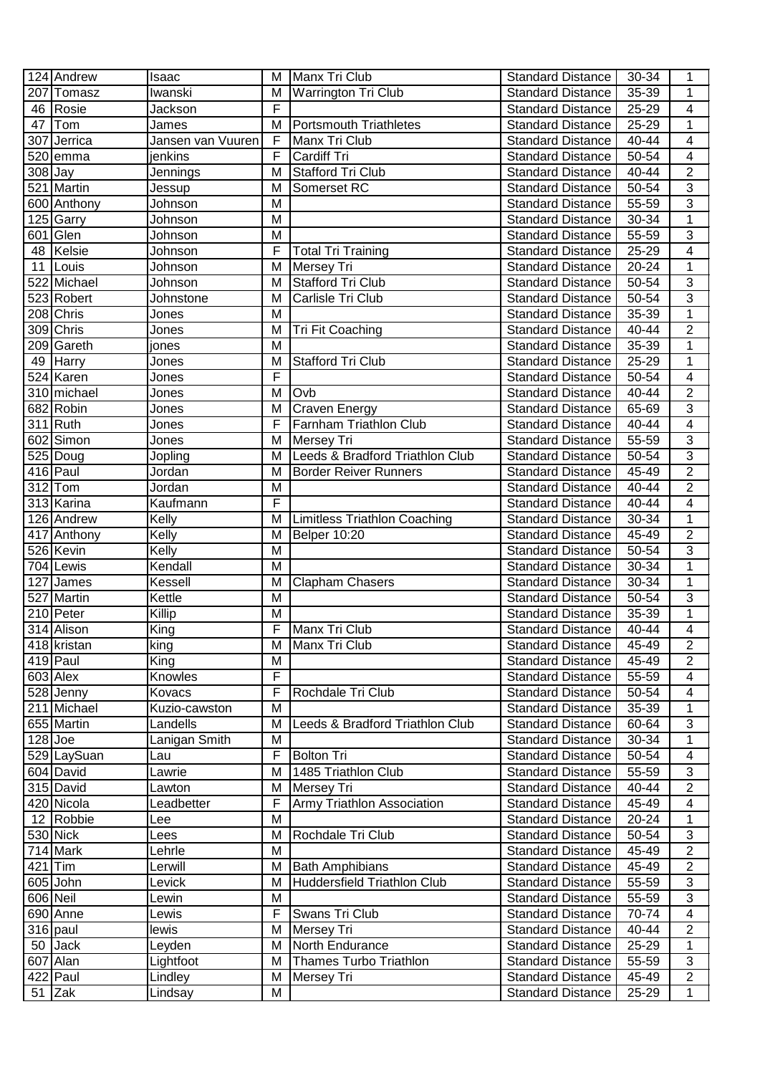|           | 124 Andrew             | Isaac             | M              | Manx Tri Club                       | <b>Standard Distance</b> | 30-34     | 1                        |
|-----------|------------------------|-------------------|----------------|-------------------------------------|--------------------------|-----------|--------------------------|
|           | 207 Tomasz             | Iwanski           | M              | <b>Warrington Tri Club</b>          | <b>Standard Distance</b> | 35-39     | 1                        |
|           | 46 Rosie               | Jackson           | F              |                                     | <b>Standard Distance</b> | 25-29     | $\overline{\mathcal{A}}$ |
| 47        | Tom                    | James             | M              | <b>Portsmouth Triathletes</b>       | <b>Standard Distance</b> | 25-29     | 1                        |
|           | 307 Jerrica            | Jansen van Vuuren | F              | Manx Tri Club                       | <b>Standard Distance</b> | 40-44     | $\overline{\mathbf{4}}$  |
|           | 520 emma               | jenkins           | F              | Cardiff Tri                         | <b>Standard Distance</b> | 50-54     | $\overline{\mathcal{A}}$ |
| $308$ Jay |                        | Jennings          | M              | <b>Stafford Tri Club</b>            | <b>Standard Distance</b> | 40-44     | $\overline{2}$           |
|           | 521 Martin             | Jessup            | м              | Somerset RC                         | Standard Distance        | 50-54     | 3                        |
|           | 600 Anthony            | Johnson           | M              |                                     | <b>Standard Distance</b> | 55-59     | $\overline{3}$           |
|           | $\overline{125}$ Garry | Johnson           | M              |                                     | <b>Standard Distance</b> | 30-34     | $\mathbf 1$              |
|           | 601 Glen               | Johnson           | M              |                                     | <b>Standard Distance</b> | 55-59     | $\overline{3}$           |
|           | 48 Kelsie              | Johnson           | F              | <b>Total Tri Training</b>           | <b>Standard Distance</b> | 25-29     | $\overline{\mathcal{A}}$ |
| 11        | Louis                  | Johnson           | M              | Mersey Tri                          | <b>Standard Distance</b> | 20-24     | $\overline{1}$           |
|           | 522 Michael            | Johnson           | M              | <b>Stafford Tri Club</b>            | <b>Standard Distance</b> | 50-54     | $\overline{3}$           |
|           | 523 Robert             | Johnstone         | M              | Carlisle Tri Club                   | <b>Standard Distance</b> | 50-54     | $\overline{3}$           |
|           | 208 Chris              | Jones             | M              |                                     | <b>Standard Distance</b> | 35-39     | 1                        |
|           | 309 Chris              | Jones             | M              | Tri Fit Coaching                    | <b>Standard Distance</b> | 40-44     | $\overline{2}$           |
|           | 209 Gareth             | jones             | M              |                                     | <b>Standard Distance</b> | 35-39     | 1                        |
|           | 49 Harry               | Jones             | M              | <b>Stafford Tri Club</b>            | <b>Standard Distance</b> | 25-29     | $\mathbf 1$              |
|           | 524 Karen              | Jones             | F              |                                     | <b>Standard Distance</b> | 50-54     | $\overline{\mathbf{4}}$  |
|           | 310 michael            | Jones             | M              | Ovb                                 | <b>Standard Distance</b> | 40-44     | $\overline{2}$           |
|           | 682 Robin              | Jones             | M              | <b>Craven Energy</b>                | <b>Standard Distance</b> | 65-69     | $\overline{3}$           |
|           | $311$ Ruth             | Jones             | F              | Farnham Triathlon Club              | <b>Standard Distance</b> | 40-44     | $\overline{\mathcal{A}}$ |
|           | 602 Simon              | Jones             | M              | Mersey Tri                          | <b>Standard Distance</b> | 55-59     | 3                        |
|           | $525$ Doug             | Jopling           | M              | Leeds & Bradford Triathlon Club     | <b>Standard Distance</b> | 50-54     | 3                        |
|           | 416 Paul               | Jordan            | M              | <b>Border Reiver Runners</b>        | <b>Standard Distance</b> | 45-49     | $\overline{2}$           |
|           | $312$ Tom              | Jordan            | M              |                                     | <b>Standard Distance</b> | 40-44     | $\boldsymbol{2}$         |
|           | 313 Karina             | Kaufmann          | F              |                                     | <b>Standard Distance</b> | 40-44     | $\overline{\mathbf{4}}$  |
|           | 126 Andrew             | Kelly             | M              | <b>Limitless Triathlon Coaching</b> | <b>Standard Distance</b> | 30-34     | $\mathbf{1}$             |
|           | 417 Anthony            | Kelly             | M              | <b>Belper 10:20</b>                 | <b>Standard Distance</b> | 45-49     | $\overline{2}$           |
|           | 526 Kevin              | Kelly             | M              |                                     | <b>Standard Distance</b> | 50-54     | $\overline{3}$           |
|           | 704 Lewis              | Kendall           | M              |                                     | <b>Standard Distance</b> | 30-34     | 1                        |
|           | 127 James              | Kessell           | M              | <b>Clapham Chasers</b>              | <b>Standard Distance</b> | 30-34     | $\mathbf 1$              |
|           | 527 Martin             | Kettle            | M              |                                     | <b>Standard Distance</b> | 50-54     | $\overline{3}$           |
|           | 210 Peter              | Killip            | M              |                                     | <b>Standard Distance</b> | 35-39     | $\mathbf 1$              |
|           | 314 Alison             | King              | F              | Manx Tri Club                       | <b>Standard Distance</b> | 40-44     | 4                        |
|           | 418 kristan            | king              | $\overline{M}$ | Manx Tri Club                       | Standard Distance        | $45 - 49$ | $\overline{2}$           |
|           | $419$ Paul             | King              | M              |                                     | <b>Standard Distance</b> | 45-49     | $\overline{2}$           |
|           | 603 Alex               | Knowles           | F              |                                     | <b>Standard Distance</b> | 55-59     | 4                        |
|           | 528 Jenny              | Kovacs            | F              | Rochdale Tri Club                   | <b>Standard Distance</b> | 50-54     | 4                        |
|           | 211 Michael            | Kuzio-cawston     | M              |                                     | <b>Standard Distance</b> | 35-39     | 1                        |
|           | 655 Martin             | Landells          | M              | Leeds & Bradford Triathlon Club     | <b>Standard Distance</b> | 60-64     | 3                        |
| $128$ Joe |                        | Lanigan Smith     | M              |                                     | <b>Standard Distance</b> | 30-34     | $\mathbf 1$              |
|           | 529 LaySuan            | Lau               | F              | <b>Bolton Tri</b>                   | <b>Standard Distance</b> | 50-54     | $\overline{\mathcal{A}}$ |
|           | 604 David              | Lawrie            | M              | 1485 Triathlon Club                 | <b>Standard Distance</b> | 55-59     | 3                        |
|           | 315 David              | Lawton            | M              | <b>Mersey Tri</b>                   | <b>Standard Distance</b> | $40 - 44$ | $\overline{2}$           |
|           | 420 Nicola             | Leadbetter        | F              | Army Triathlon Association          | <b>Standard Distance</b> | 45-49     | 4                        |
|           | 12 Robbie              | Lee               | M              |                                     | <b>Standard Distance</b> | 20-24     | $\mathbf{1}$             |
|           | 530 Nick               | Lees              | M              | Rochdale Tri Club                   | <b>Standard Distance</b> | 50-54     | 3                        |
|           | 714 Mark               | Lehrle            | M              |                                     | <b>Standard Distance</b> | 45-49     | $\overline{2}$           |
| $421$ Tim |                        | Lerwill           | M              | <b>Bath Amphibians</b>              | <b>Standard Distance</b> | 45-49     | 2                        |
|           | 605 John               | Levick            | M              | Huddersfield Triathlon Club         | <b>Standard Distance</b> | 55-59     | 3                        |
| 606 Neil  |                        | Lewin             | M              |                                     | <b>Standard Distance</b> | 55-59     | 3                        |
|           | 690 Anne               | Lewis             | F              | Swans Tri Club                      | <b>Standard Distance</b> | 70-74     | $\overline{4}$           |
|           | $316$ paul             | lewis             | M              | Mersey Tri                          | <b>Standard Distance</b> | 40-44     | $\overline{2}$           |
|           | 50 Jack                | Leyden            | M              | North Endurance                     | <b>Standard Distance</b> | 25-29     | 1                        |
|           | 607 Alan               | Lightfoot         | M              | <b>Thames Turbo Triathlon</b>       | <b>Standard Distance</b> | 55-59     | 3                        |
|           | 422 Paul               | Lindley           | M              | Mersey Tri                          | <b>Standard Distance</b> | 45-49     | $\overline{2}$           |
|           | $51$ Zak               | Lindsay           | M              |                                     | Standard Distance        | 25-29     | 1                        |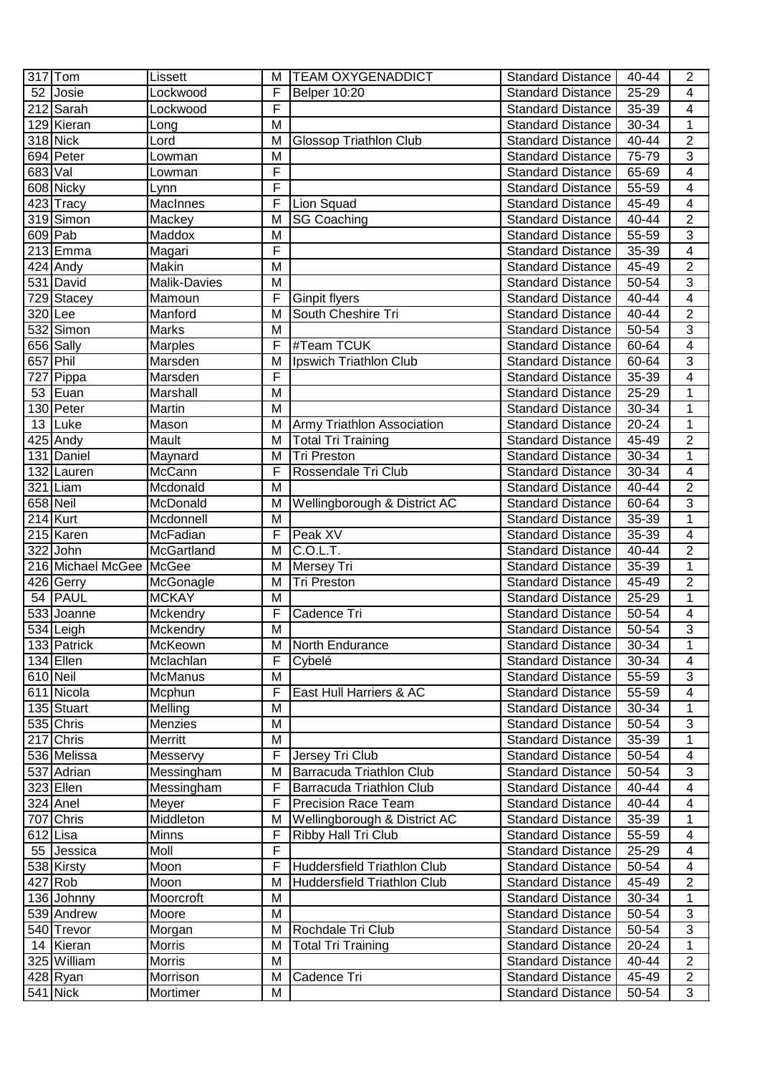|            | $317$ Tom               | Lissett         | м                       | <b>TEAM OXYGENADDICT</b>      | <b>Standard Distance</b> | 40-44     | $\overline{2}$           |
|------------|-------------------------|-----------------|-------------------------|-------------------------------|--------------------------|-----------|--------------------------|
| 52         | Josie                   | Lockwood        | F                       | <b>Belper 10:20</b>           | <b>Standard Distance</b> | 25-29     | 4                        |
|            | 212 Sarah               | Lockwood        | F                       |                               | <b>Standard Distance</b> | 35-39     | $\overline{\mathbf{4}}$  |
|            | 129 Kieran              | Long            | M                       |                               | <b>Standard Distance</b> | 30-34     | $\mathbf 1$              |
|            | $318$ Nick              | Lord            | M                       | <b>Glossop Triathlon Club</b> | <b>Standard Distance</b> | 40-44     | $\overline{2}$           |
|            | 694 Peter               | Lowman          | M                       |                               | <b>Standard Distance</b> | 75-79     | 3                        |
| 683 Val    |                         | Lowman          | F                       |                               | <b>Standard Distance</b> | 65-69     | $\overline{\mathbf{4}}$  |
|            | $\overline{608}$ Nicky  | Lynn            | F                       |                               | <b>Standard Distance</b> | 55-59     | 4                        |
|            | $\overline{423}$ Tracy  | <b>MacInnes</b> | F                       | Lion Squad                    | <b>Standard Distance</b> | 45-49     | $\overline{4}$           |
|            | 319 Simon               | Mackey          | M                       | <b>SG Coaching</b>            | <b>Standard Distance</b> | 40-44     | $\overline{2}$           |
|            | $609$ Pab               | Maddox          | M                       |                               | <b>Standard Distance</b> | 55-59     | $\overline{3}$           |
|            | 213 Emma                | Magari          | F                       |                               | <b>Standard Distance</b> | 35-39     | $\overline{4}$           |
|            | $\overline{42}$ 4 Andy  | Makin           | M                       |                               | Standard Distance        | 45-49     | $\overline{2}$           |
|            | 531 David               | Malik-Davies    | M                       |                               | Standard Distance        | 50-54     | $\overline{3}$           |
|            | 729 Stacey              | Mamoun          | F                       | Ginpit flyers                 | Standard Distance        | 40-44     | $\overline{4}$           |
| 320 Lee    |                         | Manford         | M                       | South Cheshire Tri            | <b>Standard Distance</b> | 40-44     | $\overline{2}$           |
|            | 532 Simon               | Marks           | M                       |                               | <b>Standard Distance</b> | 50-54     | $\overline{3}$           |
|            | 656 Sally               | Marples         | F                       | #Team TCUK                    | <b>Standard Distance</b> | 60-64     | $\overline{4}$           |
| 657 Phil   |                         | Marsden         | M                       | Ipswich Triathlon Club        | <b>Standard Distance</b> | 60-64     | 3                        |
|            | 727 Pippa               | Marsden         | F                       |                               | <b>Standard Distance</b> | 35-39     | 4                        |
| 53         | Euan                    | Marshall        | M                       |                               | <b>Standard Distance</b> | 25-29     | $\mathbf{1}$             |
|            | 130 Peter               | Martin          | M                       |                               | <b>Standard Distance</b> | 30-34     | $\mathbf 1$              |
| 13         | Luke                    | Mason           | M                       | Army Triathlon Association    | <b>Standard Distance</b> | 20-24     | $\mathbf 1$              |
|            | 425 Andy                | Mault           | M                       | <b>Total Tri Training</b>     | <b>Standard Distance</b> | 45-49     | $\overline{2}$           |
|            | 131 Daniel              | Maynard         | M                       | <b>Tri Preston</b>            | <b>Standard Distance</b> | 30-34     | 1                        |
|            | 132 Lauren              | McCann          | F                       | Rossendale Tri Club           | <b>Standard Distance</b> | 30-34     | $\overline{4}$           |
|            | 321 Liam                | Mcdonald        | M                       |                               | <b>Standard Distance</b> | 40-44     | $\overline{c}$           |
| $658$ Neil |                         | McDonald        | M                       | Wellingborough & District AC  | <b>Standard Distance</b> | 60-64     | 3                        |
|            | $214$ Kurt              | Mcdonnell       | M                       |                               | <b>Standard Distance</b> | 35-39     | 1                        |
|            | 215 Karen               | McFadian        | F                       | Peak XV                       | <b>Standard Distance</b> | 35-39     | $\overline{4}$           |
|            | 322 John                | McGartland      | M                       | C.O.L.T.                      | <b>Standard Distance</b> | 40-44     | $\overline{c}$           |
|            | 216 Michael McGee McGee |                 | M                       | Mersey Tri                    | <b>Standard Distance</b> | 35-39     | $\mathbf 1$              |
|            | 426 Gerry               | McGonagle       | M                       | <b>Tri Preston</b>            | <b>Standard Distance</b> | 45-49     | $\overline{2}$           |
|            | 54 PAUL                 | <b>MCKAY</b>    | M                       |                               | <b>Standard Distance</b> | 25-29     | $\overline{1}$           |
|            | 533 Joanne              | Mckendry        | F                       | Cadence Tri                   | <b>Standard Distance</b> | 50-54     | $\overline{\mathbf{4}}$  |
|            | 534 Leigh               | Mckendry        | M                       |                               | <b>Standard Distance</b> | 50-54     | 3                        |
|            | 133 Patrick             | McKeown         | $\overline{\mathsf{M}}$ | North Endurance               | <b>Standard Distance</b> | $30 - 34$ | $\mathbf 1$              |
|            | $134$ Ellen             | Mclachlan       | F                       | Cybelé                        | <b>Standard Distance</b> | 30-34     | 4                        |
| 610 Neil   |                         | <b>McManus</b>  | M                       |                               | <b>Standard Distance</b> | 55-59     | 3                        |
|            | 611 Nicola              | Mcphun          | F                       | East Hull Harriers & AC       | <b>Standard Distance</b> | 55-59     | 4                        |
|            | 135 Stuart              | Melling         | M                       |                               | <b>Standard Distance</b> | 30-34     | 1                        |
|            | 535 Chris               | Menzies         | M                       |                               | <b>Standard Distance</b> | 50-54     | $\overline{3}$           |
|            | 217 Chris               | Merritt         | M                       |                               | <b>Standard Distance</b> | 35-39     | $\mathbf 1$              |
|            | 536 Melissa             | Messervy        | F                       | Jersey Tri Club               | <b>Standard Distance</b> | 50-54     | $\overline{\mathcal{A}}$ |
|            | 537 Adrian              | Messingham      | M                       | Barracuda Triathlon Club      | <b>Standard Distance</b> | 50-54     | 3                        |
|            | 323 Ellen               | Messingham      | F                       | Barracuda Triathlon Club      | <b>Standard Distance</b> | 40-44     | $\overline{\mathcal{A}}$ |
|            | 324 Anel                | Meyer           | F                       | <b>Precision Race Team</b>    | <b>Standard Distance</b> | 40-44     | 4                        |
|            | 707 Chris               | Middleton       | M                       | Wellingborough & District AC  | <b>Standard Distance</b> | 35-39     | 1                        |
|            | 612 Lisa                | <b>Minns</b>    | F                       | Ribby Hall Tri Club           | <b>Standard Distance</b> | 55-59     | 4                        |
|            | 55 Jessica              | Moll            | F                       |                               | <b>Standard Distance</b> | 25-29     | $\overline{\mathbf{4}}$  |
|            | 538 Kirsty              | Moon            | F                       | Huddersfield Triathlon Club   | <b>Standard Distance</b> | 50-54     | $\overline{\mathcal{A}}$ |
|            | $427$ Rob               | Moon            | M                       | Huddersfield Triathlon Club   | <b>Standard Distance</b> | 45-49     | $\boldsymbol{2}$         |
|            | 136 Johnny              | Moorcroft       | м                       |                               | <b>Standard Distance</b> | 30-34     | 1                        |
|            | 539 Andrew              | Moore           | M                       |                               | <b>Standard Distance</b> | 50-54     | $\overline{3}$           |
|            | 540 Trevor              | Morgan          | M                       | Rochdale Tri Club             | <b>Standard Distance</b> | 50-54     | $\overline{3}$           |
|            | 14 Kieran               | <b>Morris</b>   | M                       | Total Tri Training            | <b>Standard Distance</b> | 20-24     | 1                        |
|            | 325 William             | <b>Morris</b>   | M                       |                               | <b>Standard Distance</b> | 40-44     | $\overline{2}$           |
|            | 428 Ryan                | Morrison        | M                       | Cadence Tri                   | <b>Standard Distance</b> | 45-49     | $\overline{2}$           |
|            | 541 Nick                | Mortimer        | M                       |                               | <b>Standard Distance</b> | 50-54     | 3                        |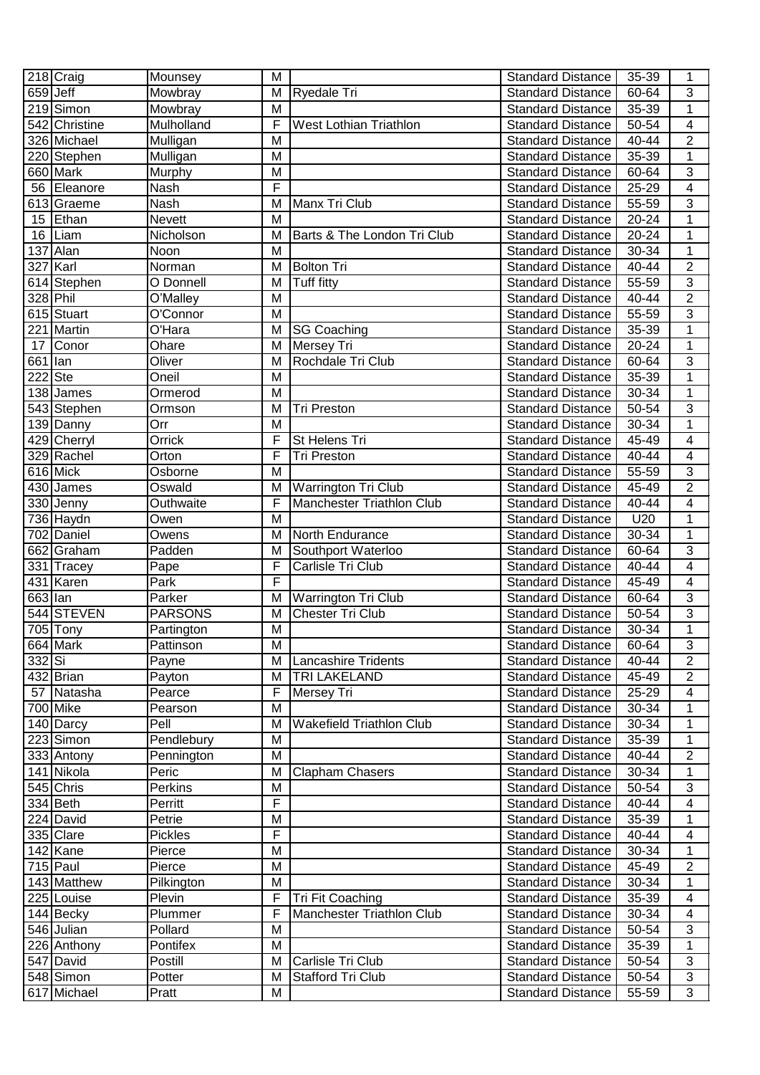|                       | 218 Craig     | Mounsey        | М                       |                                 | <b>Standard Distance</b> | 35-39     | 1                        |
|-----------------------|---------------|----------------|-------------------------|---------------------------------|--------------------------|-----------|--------------------------|
| $659$ Jeff            |               | Mowbray        | M                       | <b>Ryedale Tri</b>              | <b>Standard Distance</b> | 60-64     | 3                        |
|                       | 219 Simon     | Mowbray        | M                       |                                 | <b>Standard Distance</b> | 35-39     | $\mathbf 1$              |
|                       | 542 Christine | Mulholland     | F                       | West Lothian Triathlon          | <b>Standard Distance</b> | 50-54     | 4                        |
|                       | 326 Michael   | Mulligan       | M                       |                                 | <b>Standard Distance</b> | 40-44     | $\overline{2}$           |
|                       | 220 Stephen   | Mulligan       | M                       |                                 | <b>Standard Distance</b> | 35-39     | $\mathbf 1$              |
|                       | 660 Mark      | Murphy         | M                       |                                 | <b>Standard Distance</b> | 60-64     | 3                        |
|                       | 56 Eleanore   | Nash           | F                       |                                 | <b>Standard Distance</b> | 25-29     | $\overline{\mathcal{A}}$ |
|                       | 613 Graeme    | Nash           | M                       | Manx Tri Club                   | <b>Standard Distance</b> | 55-59     | $\overline{3}$           |
|                       | 15 Ethan      | Nevett         | м                       |                                 | <b>Standard Distance</b> | $20 - 24$ | 1                        |
|                       | 16 Liam       | Nicholson      | M                       | Barts & The London Tri Club     | Standard Distance        | 20-24     | $\mathbf{1}$             |
|                       | 137 Alan      | Noon           | M                       |                                 | <b>Standard Distance</b> | 30-34     | $\mathbf{1}$             |
|                       | 327 Karl      | Norman         | M                       | <b>Bolton Tri</b>               | Standard Distance        | 40-44     | $\overline{2}$           |
|                       | 614 Stephen   | O Donnell      | M                       | Tuff fitty                      | Standard Distance        | 55-59     | $\overline{3}$           |
| 328 Phil              |               | O'Malley       | M                       |                                 | Standard Distance        | 40-44     | $\overline{2}$           |
|                       | 615 Stuart    | O'Connor       | M                       |                                 | <b>Standard Distance</b> | 55-59     | $\overline{3}$           |
|                       | 221 Martin    | O'Hara         | M                       | <b>SG Coaching</b>              | <b>Standard Distance</b> | 35-39     | $\mathbf 1$              |
| 17                    | Conor         | Ohare          | M                       | Mersey Tri                      | <b>Standard Distance</b> | 20-24     | $\overline{1}$           |
| 661 lan               |               | Oliver         | M                       | Rochdale Tri Club               | <b>Standard Distance</b> | 60-64     | 3                        |
| 222 Ste               |               | Oneil          | M                       |                                 | <b>Standard Distance</b> | 35-39     | $\mathbf{1}$             |
|                       | 138 James     | Ormerod        | M                       |                                 | <b>Standard Distance</b> | 30-34     | $\mathbf 1$              |
|                       | 543 Stephen   | Ormson         | M                       | <b>Tri Preston</b>              | <b>Standard Distance</b> | 50-54     | $\overline{3}$           |
|                       | 139 Danny     | Orr            | M                       |                                 | <b>Standard Distance</b> | 30-34     | $\mathbf 1$              |
|                       | 429 Cherryl   | Orrick         | F                       | St Helens Tri                   | <b>Standard Distance</b> | 45-49     | $\overline{\mathcal{A}}$ |
|                       | 329 Rachel    | Orton          | F                       | Tri Preston                     | <b>Standard Distance</b> | 40-44     | $\overline{\mathcal{A}}$ |
|                       | 616 Mick      | Osborne        | M                       |                                 | <b>Standard Distance</b> | 55-59     | $\overline{3}$           |
|                       | 430 James     | Oswald         | M                       | Warrington Tri Club             | <b>Standard Distance</b> | 45-49     | $\overline{c}$           |
|                       | 330 Jenny     | Outhwaite      | F                       | Manchester Triathlon Club       | <b>Standard Distance</b> | 40-44     | $\overline{4}$           |
|                       | 736 Haydn     | Owen           | M                       |                                 | <b>Standard Distance</b> | U20       | $\mathbf 1$              |
|                       | 702 Daniel    | Owens          | M                       | North Endurance                 | <b>Standard Distance</b> | 30-34     | $\overline{1}$           |
|                       | 662 Graham    | Padden         | M                       | Southport Waterloo              | <b>Standard Distance</b> | 60-64     | $\overline{3}$           |
|                       | 331 Tracey    | Pape           | F                       | Carlisle Tri Club               | <b>Standard Distance</b> | 40-44     | $\overline{\mathbf{4}}$  |
|                       | 431 Karen     | Park           | F                       |                                 | <b>Standard Distance</b> | 45-49     | $\overline{\mathbf{4}}$  |
| $\overline{663}$  lan |               | Parker         | M                       | Warrington Tri Club             | <b>Standard Distance</b> | 60-64     | $\overline{3}$           |
|                       | 544 STEVEN    | <b>PARSONS</b> | M                       | <b>Chester Tri Club</b>         | <b>Standard Distance</b> | 50-54     | $\overline{3}$           |
|                       | $705$ Tony    | Partington     | M                       |                                 | <b>Standard Distance</b> | 30-34     | $\mathbf 1$              |
|                       | 664 Mark      | Pattinson      | $\overline{\mathsf{M}}$ |                                 | <b>Standard Distance</b> | 60-64     | $\overline{3}$           |
| 332 Si                |               | Payne          | M                       | <b>Lancashire Tridents</b>      | <b>Standard Distance</b> | 40-44     | $\overline{2}$           |
|                       | 432 Brian     | Payton         | M                       | TRI LAKELAND                    | <b>Standard Distance</b> | 45-49     | $\overline{2}$           |
| 57                    | Natasha       | Pearce         | F                       | Mersey Tri                      | <b>Standard Distance</b> | 25-29     | 4                        |
|                       | 700 Mike      | Pearson        | M                       |                                 | <b>Standard Distance</b> | 30-34     | 1                        |
|                       | 140 Darcy     | Pell           | M                       | <b>Wakefield Triathlon Club</b> | <b>Standard Distance</b> | 30-34     | $\mathbf{1}$             |
|                       | 223 Simon     | Pendlebury     | M                       |                                 | <b>Standard Distance</b> | 35-39     | 1                        |
|                       | 333 Antony    | Pennington     | M                       |                                 | <b>Standard Distance</b> | 40-44     | $\overline{2}$           |
|                       | 141 Nikola    | Peric          | M                       | Clapham Chasers                 | <b>Standard Distance</b> | 30-34     | 1                        |
|                       | 545 Chris     | Perkins        | M                       |                                 | <b>Standard Distance</b> | 50-54     | 3                        |
|                       | $334$ Beth    | Perritt        | F                       |                                 | <b>Standard Distance</b> | 40-44     | $\overline{\mathcal{A}}$ |
|                       | 224 David     | Petrie         | M                       |                                 | <b>Standard Distance</b> | 35-39     | 1                        |
|                       | 335 Clare     | <b>Pickles</b> | F                       |                                 | <b>Standard Distance</b> | 40-44     | $\overline{\mathcal{A}}$ |
|                       | 142 Kane      | Pierce         | M                       |                                 | <b>Standard Distance</b> | 30-34     | 1                        |
|                       | $715$  Paul   | Pierce         | M                       |                                 | <b>Standard Distance</b> | 45-49     | $\overline{c}$           |
|                       | 143 Matthew   | Pilkington     | M                       |                                 | <b>Standard Distance</b> | 30-34     | 1                        |
|                       | 225 Louise    | Plevin         | F                       | Tri Fit Coaching                | <b>Standard Distance</b> | 35-39     | 4                        |
|                       | 144 Becky     | Plummer        | F                       | Manchester Triathlon Club       | <b>Standard Distance</b> | 30-34     | $\overline{4}$           |
|                       | 546 Julian    | Pollard        | M                       |                                 | <b>Standard Distance</b> | 50-54     | 3                        |
|                       | 226 Anthony   | Pontifex       | M                       |                                 | <b>Standard Distance</b> | 35-39     | 1                        |
|                       | 547 David     | Postill        | м                       | Carlisle Tri Club               | <b>Standard Distance</b> | 50-54     | 3                        |
|                       | 548 Simon     | Potter         | M                       | Stafford Tri Club               | <b>Standard Distance</b> | 50-54     | $\overline{3}$           |
|                       | 617 Michael   | Pratt          | M                       |                                 | <b>Standard Distance</b> | 55-59     | 3                        |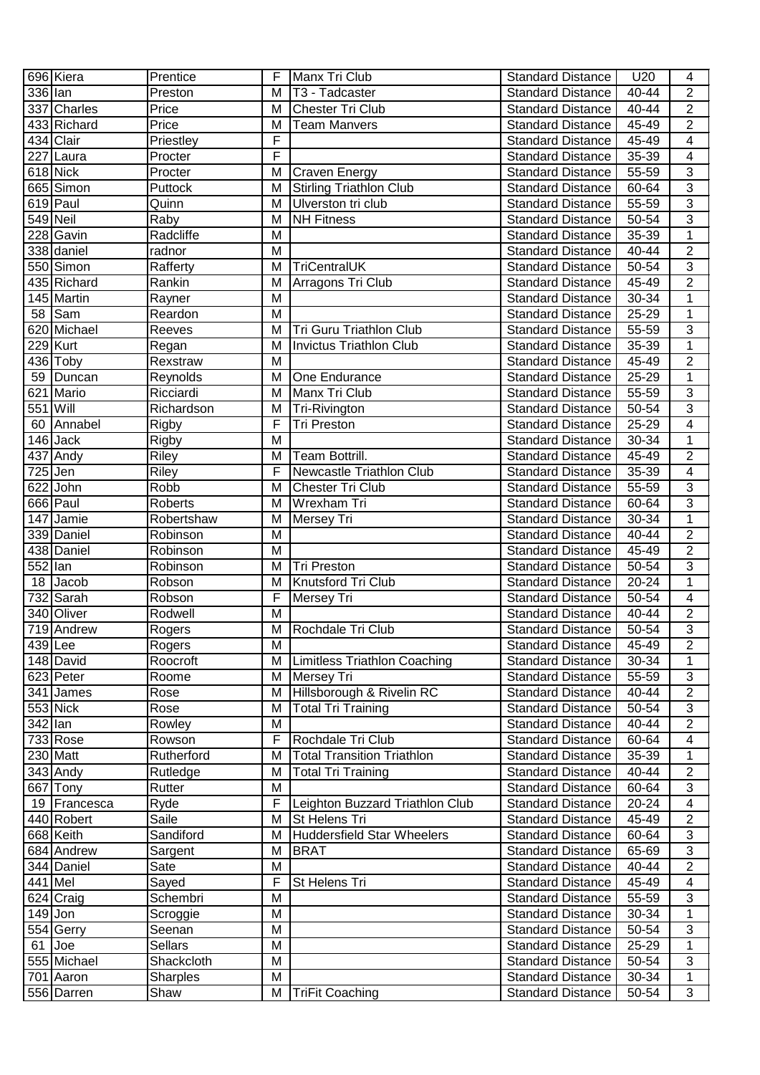|            | 696 Kiera    | Prentice       | F              | Manx Tri Club                       | <b>Standard Distance</b> | U20       | $\overline{4}$           |
|------------|--------------|----------------|----------------|-------------------------------------|--------------------------|-----------|--------------------------|
| 336 lan    |              | Preston        | M              | T <sub>3</sub> - Tadcaster          | <b>Standard Distance</b> | 40-44     | $\overline{\mathbf{c}}$  |
|            | 337 Charles  | Price          | M              | Chester Tri Club                    | <b>Standard Distance</b> | 40-44     | $\overline{2}$           |
|            | 433 Richard  | Price          | M              | <b>Team Manvers</b>                 | <b>Standard Distance</b> | 45-49     | $\overline{2}$           |
|            | 434 Clair    | Priestley      | F              |                                     | <b>Standard Distance</b> | 45-49     | $\overline{4}$           |
|            | 227 Laura    | Procter        | F              |                                     | <b>Standard Distance</b> | 35-39     | $\overline{4}$           |
|            | 618 Nick     | Procter        | M              | Craven Energy                       | <b>Standard Distance</b> | 55-59     | $\overline{3}$           |
|            | 665 Simon    | Puttock        | M              | <b>Stirling Triathlon Club</b>      | <b>Standard Distance</b> | 60-64     | $\overline{3}$           |
|            | 619 Paul     | Quinn          | M              | Ulverston tri club                  | <b>Standard Distance</b> | 55-59     | $\overline{3}$           |
| $549$ Neil |              | Raby           | M              | <b>NH Fitness</b>                   | <b>Standard Distance</b> | 50-54     | $\overline{3}$           |
|            | 228 Gavin    | Radcliffe      | M              |                                     | Standard Distance        | 35-39     | $\overline{1}$           |
|            | 338 daniel   | radnor         | M              |                                     | <b>Standard Distance</b> | 40-44     | $\overline{2}$           |
|            | 550 Simon    | Rafferty       | M              | <b>TriCentralUK</b>                 | Standard Distance        | 50-54     | $\overline{3}$           |
|            | 435 Richard  | Rankin         | M              | Arragons Tri Club                   | <b>Standard Distance</b> | 45-49     | $\overline{2}$           |
|            | 145 Martin   | Rayner         | M              |                                     | <b>Standard Distance</b> | 30-34     | $\overline{1}$           |
|            | 58 Sam       | Reardon        | M              |                                     | <b>Standard Distance</b> | 25-29     | $\mathbf{1}$             |
|            | 620 Michael  | Reeves         | M              | <b>Tri Guru Triathlon Club</b>      | <b>Standard Distance</b> | 55-59     | 3                        |
|            | $229$ Kurt   | Regan          | M              | <b>Invictus Triathlon Club</b>      | <b>Standard Distance</b> | 35-39     | $\overline{1}$           |
|            | 436 Toby     | Rexstraw       | M              |                                     | <b>Standard Distance</b> | 45-49     | $\overline{2}$           |
|            | 59   Duncan  | Reynolds       | M              | One Endurance                       | <b>Standard Distance</b> | 25-29     | $\mathbf 1$              |
|            | 621 Mario    | Ricciardi      | M              | Manx Tri Club                       | <b>Standard Distance</b> | 55-59     | $\overline{3}$           |
| 551 Will   |              | Richardson     | M              | Tri-Rivington                       | <b>Standard Distance</b> | 50-54     | $\overline{3}$           |
|            | 60 Annabel   | Rigby          | F              | <b>Tri Preston</b>                  | <b>Standard Distance</b> | 25-29     | $\overline{\mathbf{4}}$  |
|            | $146$ Jack   | Rigby          | M              |                                     | <b>Standard Distance</b> | 30-34     | $\mathbf{1}$             |
|            | 437 Andy     | Riley          | M              | Team Bottrill.                      | <b>Standard Distance</b> | 45-49     | $\overline{2}$           |
| $725$ Jen  |              | Riley          | F              | <b>Newcastle Triathlon Club</b>     | <b>Standard Distance</b> | 35-39     | $\overline{4}$           |
|            | 622 John     | Robb           | M              | <b>Chester Tri Club</b>             | <b>Standard Distance</b> | 55-59     | $\overline{3}$           |
|            | 666 Paul     | Roberts        | M              | Wrexham Tri                         | <b>Standard Distance</b> | 60-64     | $\overline{3}$           |
|            | 147 Jamie    | Robertshaw     | M              | <b>Mersey Tri</b>                   | <b>Standard Distance</b> | 30-34     | 1                        |
|            | 339 Daniel   | Robinson       | M              |                                     | <b>Standard Distance</b> | 40-44     | $\overline{2}$           |
|            | 438 Daniel   | Robinson       | M              |                                     | <b>Standard Distance</b> | 45-49     | $\overline{2}$           |
| 552 lan    |              | Robinson       | M              | <b>Tri Preston</b>                  | <b>Standard Distance</b> | 50-54     | $\overline{3}$           |
|            | 18 Jacob     | Robson         | M              | Knutsford Tri Club                  | <b>Standard Distance</b> | 20-24     | $\mathbf{1}$             |
|            | 732 Sarah    | Robson         | F              | Mersey Tri                          | <b>Standard Distance</b> | 50-54     | $\overline{4}$           |
|            | 340 Oliver   | Rodwell        | M              |                                     | <b>Standard Distance</b> | 40-44     | $\overline{2}$           |
|            | 719 Andrew   | Rogers         | М              | Rochdale Tri Club                   | <b>Standard Distance</b> | 50-54     | 3                        |
| 439 Lee    |              | Rogers         | $\overline{M}$ |                                     | <b>Standard Distance</b> | $45 - 49$ | $\overline{2}$           |
|            | 148 David    | Roocroft       | M              | <b>Limitless Triathlon Coaching</b> | <b>Standard Distance</b> | 30-34     | $\mathbf{1}$             |
|            | 623 Peter    | Roome          | M              | Mersey Tri                          | <b>Standard Distance</b> | 55-59     | 3                        |
|            | 341 James    | Rose           | M              | Hillsborough & Rivelin RC           | <b>Standard Distance</b> | 40-44     | $\overline{2}$           |
|            | 553 Nick     | Rose           | M              | <b>Total Tri Training</b>           | <b>Standard Distance</b> | 50-54     | 3                        |
| 342 lan    |              | Rowley         | M              |                                     | <b>Standard Distance</b> | 40-44     | $\overline{2}$           |
|            | $733$ Rose   | Rowson         | F              | Rochdale Tri Club                   | <b>Standard Distance</b> | 60-64     | $\overline{4}$           |
|            | 230 Matt     | Rutherford     | M              | <b>Total Transition Triathlon</b>   | <b>Standard Distance</b> | 35-39     | $\mathbf 1$              |
|            | 343 Andy     | Rutledge       | M              | <b>Total Tri Training</b>           | <b>Standard Distance</b> | 40-44     | $\overline{2}$           |
|            | 667 Tony     | Rutter         | M              |                                     | <b>Standard Distance</b> | 60-64     | 3                        |
|            | 19 Francesca | Ryde           | F              | Leighton Buzzard Triathlon Club     | <b>Standard Distance</b> | 20-24     | $\overline{4}$           |
|            | 440 Robert   | Saile          | M              | St Helens Tri                       | <b>Standard Distance</b> | 45-49     | $\overline{2}$           |
|            | 668 Keith    | Sandiford      | M              | <b>Huddersfield Star Wheelers</b>   | <b>Standard Distance</b> | 60-64     | 3                        |
|            | 684 Andrew   | Sargent        | M              | <b>BRAT</b>                         | <b>Standard Distance</b> | 65-69     | $\overline{3}$           |
|            | 344 Daniel   | Sate           | M              |                                     | <b>Standard Distance</b> | 40-44     | $\overline{c}$           |
| 441 Mel    |              | Sayed          | F              | St Helens Tri                       | <b>Standard Distance</b> | 45-49     | $\overline{\mathcal{A}}$ |
|            | 624 Craig    | Schembri       | M              |                                     | <b>Standard Distance</b> | 55-59     | 3                        |
| $149$ Jon  |              | Scroggie       | M              |                                     | <b>Standard Distance</b> | 30-34     | 1                        |
|            | 554 Gerry    | Seenan         | M              |                                     | <b>Standard Distance</b> | 50-54     | 3                        |
| 61         | Joe          | <b>Sellars</b> | M              |                                     | <b>Standard Distance</b> | 25-29     | 1                        |
|            | 555 Michael  | Shackcloth     | M              |                                     | <b>Standard Distance</b> | 50-54     | 3                        |
|            | 701 Aaron    | Sharples       | M              |                                     | <b>Standard Distance</b> | 30-34     | 1                        |
|            | 556 Darren   | Shaw           | М              | <b>TriFit Coaching</b>              | <b>Standard Distance</b> | 50-54     | 3                        |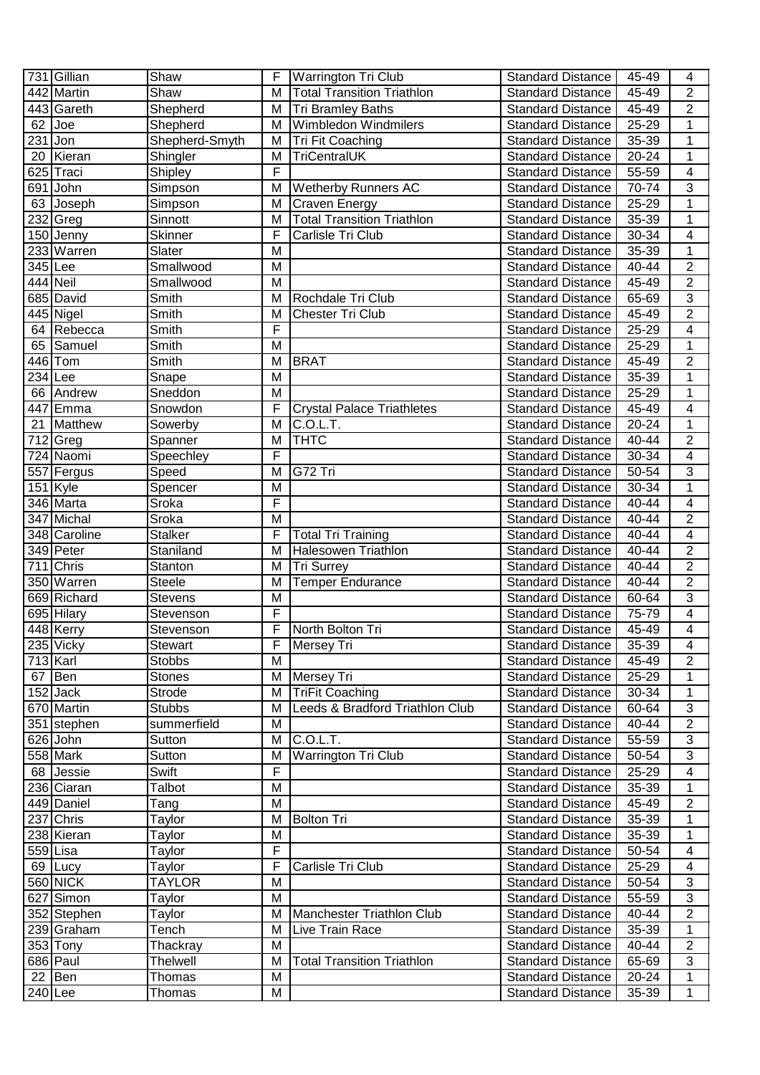|            | 731 Gillian            | Shaw            | F | <b>Warrington Tri Club</b>        | <b>Standard Distance</b> | 45-49     | 4                       |
|------------|------------------------|-----------------|---|-----------------------------------|--------------------------|-----------|-------------------------|
|            | 442 Martin             | Shaw            | M | <b>Total Transition Triathlon</b> | <b>Standard Distance</b> | 45-49     | $\overline{2}$          |
|            | 443 Gareth             | Shepherd        | M | <b>Tri Bramley Baths</b>          | <b>Standard Distance</b> | 45-49     | $\sqrt{2}$              |
| 62         | $\bigcup$              | Shepherd        | M | Wimbledon Windmilers              | <b>Standard Distance</b> | 25-29     | $\mathbf{1}$            |
| 231        | Jon                    | Shepherd-Smyth  | M | Tri Fit Coaching                  | <b>Standard Distance</b> | 35-39     | 1                       |
| 20         | Kieran                 | Shingler        | M | <b>TriCentralUK</b>               | <b>Standard Distance</b> | 20-24     | 1                       |
|            | 625 Traci              | Shipley         | F |                                   | <b>Standard Distance</b> | 55-59     | $\overline{4}$          |
|            | 691 John               | Simpson         | M | <b>Wetherby Runners AC</b>        | <b>Standard Distance</b> | 70-74     | 3                       |
|            | 63 Joseph              | Simpson         | M | Craven Energy                     | <b>Standard Distance</b> | 25-29     | 1                       |
|            | $232$ Greg             | Sinnott         | M | <b>Total Transition Triathlon</b> | <b>Standard Distance</b> | 35-39     | $\mathbf{1}$            |
|            | 150 Jenny              | <b>Skinner</b>  | F | Carlisle Tri Club                 | <b>Standard Distance</b> | 30-34     | 4                       |
|            | 233 Warren             | Slater          | M |                                   | <b>Standard Distance</b> | 35-39     | $\overline{1}$          |
| 345 Lee    |                        | Smallwood       | M |                                   | <b>Standard Distance</b> | 40-44     | $\overline{2}$          |
| 444 Neil   |                        | Smallwood       | M |                                   | <b>Standard Distance</b> | 45-49     | $\overline{2}$          |
|            | 685 David              | <b>Smith</b>    | M | Rochdale Tri Club                 | Standard Distance        | 65-69     | 3                       |
|            | $\overline{445}$ Nigel | Smith           | M | <b>Chester Tri Club</b>           | <b>Standard Distance</b> | 45-49     | $\overline{2}$          |
|            | 64 Rebecca             | Smith           | F |                                   | <b>Standard Distance</b> | 25-29     | 4                       |
| 65         | Samuel                 | Smith           | M |                                   | <b>Standard Distance</b> | 25-29     | $\mathbf{1}$            |
|            | 446 Tom                | Smith           | M | <b>BRAT</b>                       | <b>Standard Distance</b> | 45-49     | $\overline{c}$          |
| 234 Lee    |                        | Snape           | M |                                   | <b>Standard Distance</b> | 35-39     | 1                       |
| 66         | Andrew                 | Sneddon         | M |                                   | <b>Standard Distance</b> | 25-29     | 1                       |
|            | 447 Emma               | Snowdon         | F | <b>Crystal Palace Triathletes</b> | <b>Standard Distance</b> | 45-49     | 4                       |
| 21         | Matthew                | Sowerby         | M | $\overline{C}$ .O.L.T.            | <b>Standard Distance</b> | 20-24     | 1                       |
|            | $712$ Greg             | Spanner         | M | <b>THTC</b>                       | <b>Standard Distance</b> | 40-44     | $\overline{2}$          |
|            | $\overline{724}$ Naomi | Speechley       | F |                                   | <b>Standard Distance</b> | 30-34     | 4                       |
|            | 557 Fergus             | Speed           | M | G72 Tri                           | <b>Standard Distance</b> | 50-54     | 3                       |
|            | $\overline{151}$ Kyle  | Spencer         | M |                                   | <b>Standard Distance</b> | 30-34     | $\mathbf 1$             |
|            | 346 Marta              | Sroka           | F |                                   | <b>Standard Distance</b> | 40-44     | $\overline{\mathbf{4}}$ |
|            | 347 Michal             | Sroka           | M |                                   | <b>Standard Distance</b> | 40-44     | $\overline{2}$          |
|            | 348 Caroline           | <b>Stalker</b>  | F | <b>Total Tri Training</b>         | <b>Standard Distance</b> | 40-44     | $\overline{\mathbf{4}}$ |
|            | 349 Peter              | Staniland       | M | Halesowen Triathlon               | <b>Standard Distance</b> | 40-44     | $\overline{2}$          |
|            | 711 Chris              | Stanton         | M | Tri Surrey                        | <b>Standard Distance</b> | 40-44     | $\overline{2}$          |
|            | 350 Warren             | Steele          | M | <b>Temper Endurance</b>           | <b>Standard Distance</b> | 40-44     | $\overline{2}$          |
|            | 669 Richard            | <b>Stevens</b>  | M |                                   | <b>Standard Distance</b> | 60-64     | $\overline{3}$          |
|            | 695 Hilary             | Stevenson       | F |                                   | <b>Standard Distance</b> | 75-79     | 4                       |
|            | 448 Kerry              | Stevenson       | F | North Bolton Tri                  | <b>Standard Distance</b> | 45-49     | 4                       |
|            | 235 Vicky              | Stewart         | ۲ | Mersey Tri                        | <b>Standard Distance</b> | $35 - 39$ | 4                       |
| $713$ Karl |                        | <b>Stobbs</b>   | M |                                   | <b>Standard Distance</b> | 45-49     | $\overline{2}$          |
| 67         | Ben                    | <b>Stones</b>   | M | Mersey Tri                        | <b>Standard Distance</b> | 25-29     | 1                       |
|            | $152$ Jack             | Strode          | M | <b>TriFit Coaching</b>            | <b>Standard Distance</b> | 30-34     | 1                       |
|            | 670 Martin             | <b>Stubbs</b>   | M | Leeds & Bradford Triathlon Club   | <b>Standard Distance</b> | 60-64     | $\mathfrak{S}$          |
|            | 351 stephen            | summerfield     | M |                                   | <b>Standard Distance</b> | 40-44     | $\overline{c}$          |
|            | 626 John               | Sutton          | M | C.O.L.T.                          | <b>Standard Distance</b> | 55-59     | $\mathfrak{S}$          |
|            | 558 Mark               | Sutton          | M | <b>Warrington Tri Club</b>        | <b>Standard Distance</b> | 50-54     | 3                       |
|            | 68 Jessie              | Swift           | F |                                   | <b>Standard Distance</b> | 25-29     | $\overline{\mathbf{4}}$ |
|            | 236 Ciaran             | Talbot          | M |                                   | <b>Standard Distance</b> | 35-39     | $\mathbf{1}$            |
|            | 449 Daniel             | Tang            | M |                                   | <b>Standard Distance</b> | 45-49     | $\overline{2}$          |
|            | 237 Chris              | Taylor          | M | <b>Bolton Tri</b>                 | <b>Standard Distance</b> | 35-39     | 1                       |
|            | 238 Kieran             | <b>Taylor</b>   | M |                                   | <b>Standard Distance</b> | 35-39     | $\mathbf{1}$            |
| 559 Lisa   |                        | Taylor          | F |                                   | <b>Standard Distance</b> | 50-54     | 4                       |
|            | 69 Lucy                | Taylor          | F | Carlisle Tri Club                 | <b>Standard Distance</b> | 25-29     | 4                       |
|            | 560 NICK               | <b>TAYLOR</b>   | M |                                   | <b>Standard Distance</b> | 50-54     | 3                       |
|            | 627 Simon              | Taylor          | M |                                   | <b>Standard Distance</b> | 55-59     | 3                       |
|            | 352 Stephen            | Taylor          | M | Manchester Triathlon Club         | <b>Standard Distance</b> | 40-44     | $\overline{2}$          |
|            | 239 Graham             | Tench           | M | Live Train Race                   | <b>Standard Distance</b> | 35-39     | 1                       |
|            | 353 Tony               | Thackray        | M |                                   | <b>Standard Distance</b> | 40-44     | $\overline{2}$          |
|            | $686$  Paul            | <b>Thelwell</b> | M | <b>Total Transition Triathlon</b> | <b>Standard Distance</b> | 65-69     | 3                       |
|            | $22$ Ben               | Thomas          | M |                                   | <b>Standard Distance</b> | 20-24     | 1                       |
| $240$ Lee  |                        | Thomas          | M |                                   | <b>Standard Distance</b> | 35-39     | $\mathbf{1}$            |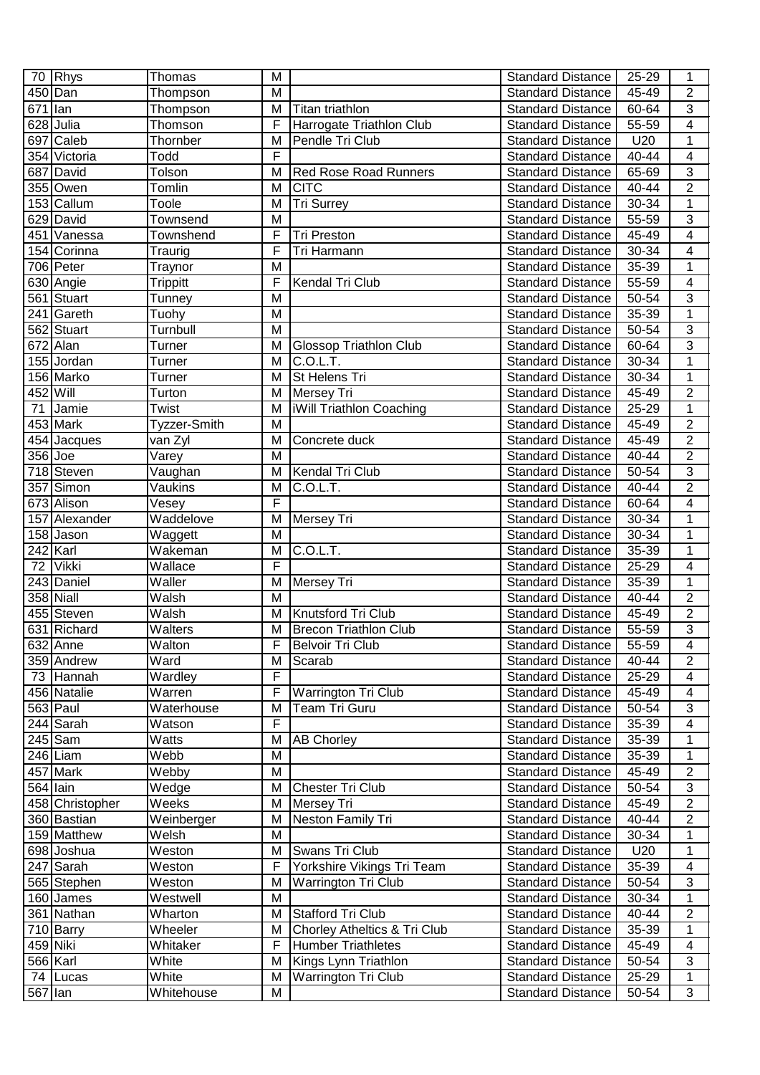| $\overline{c}$<br>450 Dan<br>M<br>45-49<br>Thompson<br><b>Standard Distance</b><br>$\overline{3}$<br>671 lan<br>Thompson<br>M<br><b>Standard Distance</b><br>60-64<br>Titan triathlon<br>F<br>4<br>628 Julia<br>Harrogate Triathlon Club<br>55-59<br>Thomson<br><b>Standard Distance</b><br>$\mathbf{1}$<br>697 Caleb<br>M<br>Pendle Tri Club<br>U20<br>Thornber<br><b>Standard Distance</b><br>F<br>354 Victoria<br>40-44<br>$\overline{\mathcal{A}}$<br>Todd<br><b>Standard Distance</b><br>$\overline{3}$<br>687 David<br>Tolson<br><b>Red Rose Road Runners</b><br><b>Standard Distance</b><br>65-69<br>M<br><b>CITC</b><br>$\overline{2}$<br>355 Owen<br>$40 - 44$<br>Tomlin<br>M<br><b>Standard Distance</b><br>$\overline{1}$<br>153 Callum<br><b>Tri Surrey</b><br>30-34<br>Toole<br>M<br><b>Standard Distance</b><br>$\overline{3}$<br>629 David<br><b>Standard Distance</b><br>55-59<br>Townsend<br>M<br>$\overline{4}$<br>451 Vanessa<br>Townshend<br>F<br><b>Tri Preston</b><br><b>Standard Distance</b><br>45-49<br>$\overline{4}$<br>F<br>Tri Harmann<br>30-34<br>154 Corinna<br><b>Standard Distance</b><br>Traurig<br>$\overline{1}$<br>706 Peter<br>M<br>Standard Distance<br>35-39<br>Traynor<br>F<br>$\overline{4}$<br>$\overline{630}$ Angie<br>Kendal Tri Club<br>55-59<br>Standard Distance<br>Trippitt<br>$\overline{3}$<br>561 Stuart<br>M<br>Standard Distance<br>50-54<br>Tunney<br>$\mathbf{1}$<br>241 Gareth<br>35-39<br>Tuohy<br>M<br><b>Standard Distance</b><br>$\overline{3}$<br>562 Stuart<br>Turnbull<br>M<br>50-54<br><b>Standard Distance</b><br>$\overline{3}$<br>672 Alan<br><b>Glossop Triathlon Club</b><br>60-64<br>M<br><b>Standard Distance</b><br><b>Turner</b><br>$\mathbf{1}$<br>155 Jordan<br>C.O.L.T.<br>M<br>30-34<br><b>Turner</b><br><b>Standard Distance</b><br>St Helens Tri<br>$\mathbf 1$<br>156 Marko<br>30-34<br>M<br><b>Standard Distance</b><br>Turner<br>$\overline{c}$<br>452 Will<br>Mersey Tri<br>M<br><b>Standard Distance</b><br>45-49<br>Turton<br>$\mathbf 1$<br>71<br>iWill Triathlon Coaching<br>Jamie<br>M<br><b>Standard Distance</b><br>25-29<br>Twist<br>$\overline{2}$<br>453 Mark<br>Tyzzer-Smith<br>M<br><b>Standard Distance</b><br>45-49<br>$\overline{2}$<br>45-49<br>454 Jacques<br>van Zyl<br>M<br>Concrete duck<br><b>Standard Distance</b><br>$\overline{2}$<br>356 Joe<br>40-44<br>Varey<br>м<br><b>Standard Distance</b><br>$\overline{3}$<br>718 Steven<br>Kendal Tri Club<br><b>Standard Distance</b><br>50-54<br>Vaughan<br>M<br>$\overline{2}$<br>357 Simon<br>C.O.L.T.<br>40-44<br>Vaukins<br>M<br><b>Standard Distance</b><br>F<br>$\overline{4}$<br>673 Alison<br>Vesey<br><b>Standard Distance</b><br>60-64<br>1<br>Waddelove<br>Mersey Tri<br>30-34<br>157 Alexander<br>M<br><b>Standard Distance</b><br>$\overline{1}$<br>158 Jason<br>M<br>30-34<br>Waggett<br><b>Standard Distance</b><br>$\mathbf 1$<br>$242$ Karl<br>Wakeman<br>C.O.L.T.<br>35-39<br>M<br><b>Standard Distance</b><br>F<br>4<br><b>Vikki</b><br>Wallace<br>25-29<br>72<br><b>Standard Distance</b><br>$\mathbf 1$<br>$\overline{243}$ Daniel<br>Waller<br>M<br>Mersey Tri<br><b>Standard Distance</b><br>35-39<br>$\overline{2}$<br>358 Niall<br>Walsh<br>M<br>40-44<br><b>Standard Distance</b><br>$\overline{2}$<br>455 Steven<br>Walsh<br>Knutsford Tri Club<br>45-49<br>M<br><b>Standard Distance</b><br>3<br>631 Richard<br>Walters<br><b>Brecon Triathlon Club</b><br>55-59<br>M<br><b>Standard Distance</b><br>Walton<br>F<br><b>Belvoir Tri Club</b><br><b>Standard Distance</b><br>$55 - 59$<br>$\overline{4}$<br>$\overline{632}$ Anne<br>$\overline{2}$<br>Ward<br>359 Andrew<br>M<br>Scarab<br><b>Standard Distance</b><br>40-44<br>F<br>Wardley<br><b>Standard Distance</b><br>25-29<br>73 Hannah<br>4<br>F<br>Warren<br>456 Natalie<br>Warrington Tri Club<br><b>Standard Distance</b><br>45-49<br>4<br>563 Paul<br>Waterhouse<br>3<br>M<br>Team Tri Guru<br><b>Standard Distance</b><br>50-54<br>F<br>$\overline{\mathbf{4}}$<br>244 Sarah<br><b>Standard Distance</b><br>35-39<br>Watson<br>$245$ Sam<br>$\mathbf 1$<br>Watts<br>M<br><b>AB Chorley</b><br><b>Standard Distance</b><br>35-39<br>Webb<br>$\mathbf 1$<br>246 Liam<br>M<br><b>Standard Distance</b><br>35-39<br>$\mathbf{2}$<br>457 Mark<br>Webby<br>M<br>45-49<br><b>Standard Distance</b><br>$\overline{3}$<br>$564$ $\overline{\text{lain}}$<br>Chester Tri Club<br>50-54<br>Wedge<br>M<br><b>Standard Distance</b><br>$\overline{2}$<br>Weeks<br>458 Christopher<br>M<br>Mersey Tri<br><b>Standard Distance</b><br>45-49<br>Neston Family Tri<br>$\overline{2}$<br>40-44<br>360 Bastian<br>Weinberger<br>M<br><b>Standard Distance</b><br>159 Matthew<br>Welsh<br>30-34<br>1<br>M<br><b>Standard Distance</b><br>$\mathbf 1$<br>Swans Tri Club<br>U20<br>698 Joshua<br>Weston<br>M<br><b>Standard Distance</b><br>247 Sarah<br>Weston<br>F<br>Yorkshire Vikings Tri Team<br>35-39<br>$\overline{\mathcal{A}}$<br><b>Standard Distance</b><br>3<br>Weston<br>Warrington Tri Club<br><b>Standard Distance</b><br>50-54<br>565 Stephen<br>M<br>160 James<br>Westwell<br>M<br>30-34<br>1<br><b>Standard Distance</b><br>$\overline{2}$<br>Stafford Tri Club<br>361 Nathan<br>Wharton<br>M<br>40-44<br><b>Standard Distance</b><br>Chorley Atheltics & Tri Club<br>35-39<br>710 Barry<br>Wheeler<br>M<br>1<br><b>Standard Distance</b><br>459 Niki<br>F<br><b>Humber Triathletes</b><br>Whitaker<br><b>Standard Distance</b><br>45-49<br>4<br>566 Karl<br>White<br>Kings Lynn Triathlon<br><b>Standard Distance</b><br>50-54<br>3<br>M<br>White<br>1<br>74 Lucas<br>M<br>Warrington Tri Club<br><b>Standard Distance</b><br>25-29<br>3<br>567 lan<br>Whitehouse<br>M<br><b>Standard Distance</b><br>50-54 | 70 Rhys | Thomas | M | <b>Standard Distance</b> | 25-29 | 1 |
|----------------------------------------------------------------------------------------------------------------------------------------------------------------------------------------------------------------------------------------------------------------------------------------------------------------------------------------------------------------------------------------------------------------------------------------------------------------------------------------------------------------------------------------------------------------------------------------------------------------------------------------------------------------------------------------------------------------------------------------------------------------------------------------------------------------------------------------------------------------------------------------------------------------------------------------------------------------------------------------------------------------------------------------------------------------------------------------------------------------------------------------------------------------------------------------------------------------------------------------------------------------------------------------------------------------------------------------------------------------------------------------------------------------------------------------------------------------------------------------------------------------------------------------------------------------------------------------------------------------------------------------------------------------------------------------------------------------------------------------------------------------------------------------------------------------------------------------------------------------------------------------------------------------------------------------------------------------------------------------------------------------------------------------------------------------------------------------------------------------------------------------------------------------------------------------------------------------------------------------------------------------------------------------------------------------------------------------------------------------------------------------------------------------------------------------------------------------------------------------------------------------------------------------------------------------------------------------------------------------------------------------------------------------------------------------------------------------------------------------------------------------------------------------------------------------------------------------------------------------------------------------------------------------------------------------------------------------------------------------------------------------------------------------------------------------------------------------------------------------------------------------------------------------------------------------------------------------------------------------------------------------------------------------------------------------------------------------------------------------------------------------------------------------------------------------------------------------------------------------------------------------------------------------------------------------------------------------------------------------------------------------------------------------------------------------------------------------------------------------------------------------------------------------------------------------------------------------------------------------------------------------------------------------------------------------------------------------------------------------------------------------------------------------------------------------------------------------------------------------------------------------------------------------------------------------------------------------------------------------------------------------------------------------------------------------------------------------------------------------------------------------------------------------------------------------------------------------------------------------------------------------------------------------------------------------------------------------------------------------------------------------------------------------------------------------------------------------------------------------------------------------------------------------------------------------------------------------------------------------------------------------------------------------------------------------------------------------------------------------------------------------------------------------------------------------------------------------------------------------------------------------------------------------------------------------------------------------------------------------------------------------------------------------------------------------------------------------------------------------------------------------------------------------------------------------------------------------------------------------------------------------------------------------------------------------------------------------------------------------------------------------------------------------------------------------------------------------------------------------------------------|---------|--------|---|--------------------------|-------|---|
|                                                                                                                                                                                                                                                                                                                                                                                                                                                                                                                                                                                                                                                                                                                                                                                                                                                                                                                                                                                                                                                                                                                                                                                                                                                                                                                                                                                                                                                                                                                                                                                                                                                                                                                                                                                                                                                                                                                                                                                                                                                                                                                                                                                                                                                                                                                                                                                                                                                                                                                                                                                                                                                                                                                                                                                                                                                                                                                                                                                                                                                                                                                                                                                                                                                                                                                                                                                                                                                                                                                                                                                                                                                                                                                                                                                                                                                                                                                                                                                                                                                                                                                                                                                                                                                                                                                                                                                                                                                                                                                                                                                                                                                                                                                                                                                                                                                                                                                                                                                                                                                                                                                                                                                                                                                                                                                                                                                                                                                                                                                                                                                                                                                                                                                                                          |         |        |   |                          |       |   |
|                                                                                                                                                                                                                                                                                                                                                                                                                                                                                                                                                                                                                                                                                                                                                                                                                                                                                                                                                                                                                                                                                                                                                                                                                                                                                                                                                                                                                                                                                                                                                                                                                                                                                                                                                                                                                                                                                                                                                                                                                                                                                                                                                                                                                                                                                                                                                                                                                                                                                                                                                                                                                                                                                                                                                                                                                                                                                                                                                                                                                                                                                                                                                                                                                                                                                                                                                                                                                                                                                                                                                                                                                                                                                                                                                                                                                                                                                                                                                                                                                                                                                                                                                                                                                                                                                                                                                                                                                                                                                                                                                                                                                                                                                                                                                                                                                                                                                                                                                                                                                                                                                                                                                                                                                                                                                                                                                                                                                                                                                                                                                                                                                                                                                                                                                          |         |        |   |                          |       |   |
|                                                                                                                                                                                                                                                                                                                                                                                                                                                                                                                                                                                                                                                                                                                                                                                                                                                                                                                                                                                                                                                                                                                                                                                                                                                                                                                                                                                                                                                                                                                                                                                                                                                                                                                                                                                                                                                                                                                                                                                                                                                                                                                                                                                                                                                                                                                                                                                                                                                                                                                                                                                                                                                                                                                                                                                                                                                                                                                                                                                                                                                                                                                                                                                                                                                                                                                                                                                                                                                                                                                                                                                                                                                                                                                                                                                                                                                                                                                                                                                                                                                                                                                                                                                                                                                                                                                                                                                                                                                                                                                                                                                                                                                                                                                                                                                                                                                                                                                                                                                                                                                                                                                                                                                                                                                                                                                                                                                                                                                                                                                                                                                                                                                                                                                                                          |         |        |   |                          |       |   |
|                                                                                                                                                                                                                                                                                                                                                                                                                                                                                                                                                                                                                                                                                                                                                                                                                                                                                                                                                                                                                                                                                                                                                                                                                                                                                                                                                                                                                                                                                                                                                                                                                                                                                                                                                                                                                                                                                                                                                                                                                                                                                                                                                                                                                                                                                                                                                                                                                                                                                                                                                                                                                                                                                                                                                                                                                                                                                                                                                                                                                                                                                                                                                                                                                                                                                                                                                                                                                                                                                                                                                                                                                                                                                                                                                                                                                                                                                                                                                                                                                                                                                                                                                                                                                                                                                                                                                                                                                                                                                                                                                                                                                                                                                                                                                                                                                                                                                                                                                                                                                                                                                                                                                                                                                                                                                                                                                                                                                                                                                                                                                                                                                                                                                                                                                          |         |        |   |                          |       |   |
|                                                                                                                                                                                                                                                                                                                                                                                                                                                                                                                                                                                                                                                                                                                                                                                                                                                                                                                                                                                                                                                                                                                                                                                                                                                                                                                                                                                                                                                                                                                                                                                                                                                                                                                                                                                                                                                                                                                                                                                                                                                                                                                                                                                                                                                                                                                                                                                                                                                                                                                                                                                                                                                                                                                                                                                                                                                                                                                                                                                                                                                                                                                                                                                                                                                                                                                                                                                                                                                                                                                                                                                                                                                                                                                                                                                                                                                                                                                                                                                                                                                                                                                                                                                                                                                                                                                                                                                                                                                                                                                                                                                                                                                                                                                                                                                                                                                                                                                                                                                                                                                                                                                                                                                                                                                                                                                                                                                                                                                                                                                                                                                                                                                                                                                                                          |         |        |   |                          |       |   |
|                                                                                                                                                                                                                                                                                                                                                                                                                                                                                                                                                                                                                                                                                                                                                                                                                                                                                                                                                                                                                                                                                                                                                                                                                                                                                                                                                                                                                                                                                                                                                                                                                                                                                                                                                                                                                                                                                                                                                                                                                                                                                                                                                                                                                                                                                                                                                                                                                                                                                                                                                                                                                                                                                                                                                                                                                                                                                                                                                                                                                                                                                                                                                                                                                                                                                                                                                                                                                                                                                                                                                                                                                                                                                                                                                                                                                                                                                                                                                                                                                                                                                                                                                                                                                                                                                                                                                                                                                                                                                                                                                                                                                                                                                                                                                                                                                                                                                                                                                                                                                                                                                                                                                                                                                                                                                                                                                                                                                                                                                                                                                                                                                                                                                                                                                          |         |        |   |                          |       |   |
|                                                                                                                                                                                                                                                                                                                                                                                                                                                                                                                                                                                                                                                                                                                                                                                                                                                                                                                                                                                                                                                                                                                                                                                                                                                                                                                                                                                                                                                                                                                                                                                                                                                                                                                                                                                                                                                                                                                                                                                                                                                                                                                                                                                                                                                                                                                                                                                                                                                                                                                                                                                                                                                                                                                                                                                                                                                                                                                                                                                                                                                                                                                                                                                                                                                                                                                                                                                                                                                                                                                                                                                                                                                                                                                                                                                                                                                                                                                                                                                                                                                                                                                                                                                                                                                                                                                                                                                                                                                                                                                                                                                                                                                                                                                                                                                                                                                                                                                                                                                                                                                                                                                                                                                                                                                                                                                                                                                                                                                                                                                                                                                                                                                                                                                                                          |         |        |   |                          |       |   |
|                                                                                                                                                                                                                                                                                                                                                                                                                                                                                                                                                                                                                                                                                                                                                                                                                                                                                                                                                                                                                                                                                                                                                                                                                                                                                                                                                                                                                                                                                                                                                                                                                                                                                                                                                                                                                                                                                                                                                                                                                                                                                                                                                                                                                                                                                                                                                                                                                                                                                                                                                                                                                                                                                                                                                                                                                                                                                                                                                                                                                                                                                                                                                                                                                                                                                                                                                                                                                                                                                                                                                                                                                                                                                                                                                                                                                                                                                                                                                                                                                                                                                                                                                                                                                                                                                                                                                                                                                                                                                                                                                                                                                                                                                                                                                                                                                                                                                                                                                                                                                                                                                                                                                                                                                                                                                                                                                                                                                                                                                                                                                                                                                                                                                                                                                          |         |        |   |                          |       |   |
|                                                                                                                                                                                                                                                                                                                                                                                                                                                                                                                                                                                                                                                                                                                                                                                                                                                                                                                                                                                                                                                                                                                                                                                                                                                                                                                                                                                                                                                                                                                                                                                                                                                                                                                                                                                                                                                                                                                                                                                                                                                                                                                                                                                                                                                                                                                                                                                                                                                                                                                                                                                                                                                                                                                                                                                                                                                                                                                                                                                                                                                                                                                                                                                                                                                                                                                                                                                                                                                                                                                                                                                                                                                                                                                                                                                                                                                                                                                                                                                                                                                                                                                                                                                                                                                                                                                                                                                                                                                                                                                                                                                                                                                                                                                                                                                                                                                                                                                                                                                                                                                                                                                                                                                                                                                                                                                                                                                                                                                                                                                                                                                                                                                                                                                                                          |         |        |   |                          |       |   |
|                                                                                                                                                                                                                                                                                                                                                                                                                                                                                                                                                                                                                                                                                                                                                                                                                                                                                                                                                                                                                                                                                                                                                                                                                                                                                                                                                                                                                                                                                                                                                                                                                                                                                                                                                                                                                                                                                                                                                                                                                                                                                                                                                                                                                                                                                                                                                                                                                                                                                                                                                                                                                                                                                                                                                                                                                                                                                                                                                                                                                                                                                                                                                                                                                                                                                                                                                                                                                                                                                                                                                                                                                                                                                                                                                                                                                                                                                                                                                                                                                                                                                                                                                                                                                                                                                                                                                                                                                                                                                                                                                                                                                                                                                                                                                                                                                                                                                                                                                                                                                                                                                                                                                                                                                                                                                                                                                                                                                                                                                                                                                                                                                                                                                                                                                          |         |        |   |                          |       |   |
|                                                                                                                                                                                                                                                                                                                                                                                                                                                                                                                                                                                                                                                                                                                                                                                                                                                                                                                                                                                                                                                                                                                                                                                                                                                                                                                                                                                                                                                                                                                                                                                                                                                                                                                                                                                                                                                                                                                                                                                                                                                                                                                                                                                                                                                                                                                                                                                                                                                                                                                                                                                                                                                                                                                                                                                                                                                                                                                                                                                                                                                                                                                                                                                                                                                                                                                                                                                                                                                                                                                                                                                                                                                                                                                                                                                                                                                                                                                                                                                                                                                                                                                                                                                                                                                                                                                                                                                                                                                                                                                                                                                                                                                                                                                                                                                                                                                                                                                                                                                                                                                                                                                                                                                                                                                                                                                                                                                                                                                                                                                                                                                                                                                                                                                                                          |         |        |   |                          |       |   |
|                                                                                                                                                                                                                                                                                                                                                                                                                                                                                                                                                                                                                                                                                                                                                                                                                                                                                                                                                                                                                                                                                                                                                                                                                                                                                                                                                                                                                                                                                                                                                                                                                                                                                                                                                                                                                                                                                                                                                                                                                                                                                                                                                                                                                                                                                                                                                                                                                                                                                                                                                                                                                                                                                                                                                                                                                                                                                                                                                                                                                                                                                                                                                                                                                                                                                                                                                                                                                                                                                                                                                                                                                                                                                                                                                                                                                                                                                                                                                                                                                                                                                                                                                                                                                                                                                                                                                                                                                                                                                                                                                                                                                                                                                                                                                                                                                                                                                                                                                                                                                                                                                                                                                                                                                                                                                                                                                                                                                                                                                                                                                                                                                                                                                                                                                          |         |        |   |                          |       |   |
|                                                                                                                                                                                                                                                                                                                                                                                                                                                                                                                                                                                                                                                                                                                                                                                                                                                                                                                                                                                                                                                                                                                                                                                                                                                                                                                                                                                                                                                                                                                                                                                                                                                                                                                                                                                                                                                                                                                                                                                                                                                                                                                                                                                                                                                                                                                                                                                                                                                                                                                                                                                                                                                                                                                                                                                                                                                                                                                                                                                                                                                                                                                                                                                                                                                                                                                                                                                                                                                                                                                                                                                                                                                                                                                                                                                                                                                                                                                                                                                                                                                                                                                                                                                                                                                                                                                                                                                                                                                                                                                                                                                                                                                                                                                                                                                                                                                                                                                                                                                                                                                                                                                                                                                                                                                                                                                                                                                                                                                                                                                                                                                                                                                                                                                                                          |         |        |   |                          |       |   |
|                                                                                                                                                                                                                                                                                                                                                                                                                                                                                                                                                                                                                                                                                                                                                                                                                                                                                                                                                                                                                                                                                                                                                                                                                                                                                                                                                                                                                                                                                                                                                                                                                                                                                                                                                                                                                                                                                                                                                                                                                                                                                                                                                                                                                                                                                                                                                                                                                                                                                                                                                                                                                                                                                                                                                                                                                                                                                                                                                                                                                                                                                                                                                                                                                                                                                                                                                                                                                                                                                                                                                                                                                                                                                                                                                                                                                                                                                                                                                                                                                                                                                                                                                                                                                                                                                                                                                                                                                                                                                                                                                                                                                                                                                                                                                                                                                                                                                                                                                                                                                                                                                                                                                                                                                                                                                                                                                                                                                                                                                                                                                                                                                                                                                                                                                          |         |        |   |                          |       |   |
|                                                                                                                                                                                                                                                                                                                                                                                                                                                                                                                                                                                                                                                                                                                                                                                                                                                                                                                                                                                                                                                                                                                                                                                                                                                                                                                                                                                                                                                                                                                                                                                                                                                                                                                                                                                                                                                                                                                                                                                                                                                                                                                                                                                                                                                                                                                                                                                                                                                                                                                                                                                                                                                                                                                                                                                                                                                                                                                                                                                                                                                                                                                                                                                                                                                                                                                                                                                                                                                                                                                                                                                                                                                                                                                                                                                                                                                                                                                                                                                                                                                                                                                                                                                                                                                                                                                                                                                                                                                                                                                                                                                                                                                                                                                                                                                                                                                                                                                                                                                                                                                                                                                                                                                                                                                                                                                                                                                                                                                                                                                                                                                                                                                                                                                                                          |         |        |   |                          |       |   |
|                                                                                                                                                                                                                                                                                                                                                                                                                                                                                                                                                                                                                                                                                                                                                                                                                                                                                                                                                                                                                                                                                                                                                                                                                                                                                                                                                                                                                                                                                                                                                                                                                                                                                                                                                                                                                                                                                                                                                                                                                                                                                                                                                                                                                                                                                                                                                                                                                                                                                                                                                                                                                                                                                                                                                                                                                                                                                                                                                                                                                                                                                                                                                                                                                                                                                                                                                                                                                                                                                                                                                                                                                                                                                                                                                                                                                                                                                                                                                                                                                                                                                                                                                                                                                                                                                                                                                                                                                                                                                                                                                                                                                                                                                                                                                                                                                                                                                                                                                                                                                                                                                                                                                                                                                                                                                                                                                                                                                                                                                                                                                                                                                                                                                                                                                          |         |        |   |                          |       |   |
|                                                                                                                                                                                                                                                                                                                                                                                                                                                                                                                                                                                                                                                                                                                                                                                                                                                                                                                                                                                                                                                                                                                                                                                                                                                                                                                                                                                                                                                                                                                                                                                                                                                                                                                                                                                                                                                                                                                                                                                                                                                                                                                                                                                                                                                                                                                                                                                                                                                                                                                                                                                                                                                                                                                                                                                                                                                                                                                                                                                                                                                                                                                                                                                                                                                                                                                                                                                                                                                                                                                                                                                                                                                                                                                                                                                                                                                                                                                                                                                                                                                                                                                                                                                                                                                                                                                                                                                                                                                                                                                                                                                                                                                                                                                                                                                                                                                                                                                                                                                                                                                                                                                                                                                                                                                                                                                                                                                                                                                                                                                                                                                                                                                                                                                                                          |         |        |   |                          |       |   |
|                                                                                                                                                                                                                                                                                                                                                                                                                                                                                                                                                                                                                                                                                                                                                                                                                                                                                                                                                                                                                                                                                                                                                                                                                                                                                                                                                                                                                                                                                                                                                                                                                                                                                                                                                                                                                                                                                                                                                                                                                                                                                                                                                                                                                                                                                                                                                                                                                                                                                                                                                                                                                                                                                                                                                                                                                                                                                                                                                                                                                                                                                                                                                                                                                                                                                                                                                                                                                                                                                                                                                                                                                                                                                                                                                                                                                                                                                                                                                                                                                                                                                                                                                                                                                                                                                                                                                                                                                                                                                                                                                                                                                                                                                                                                                                                                                                                                                                                                                                                                                                                                                                                                                                                                                                                                                                                                                                                                                                                                                                                                                                                                                                                                                                                                                          |         |        |   |                          |       |   |
|                                                                                                                                                                                                                                                                                                                                                                                                                                                                                                                                                                                                                                                                                                                                                                                                                                                                                                                                                                                                                                                                                                                                                                                                                                                                                                                                                                                                                                                                                                                                                                                                                                                                                                                                                                                                                                                                                                                                                                                                                                                                                                                                                                                                                                                                                                                                                                                                                                                                                                                                                                                                                                                                                                                                                                                                                                                                                                                                                                                                                                                                                                                                                                                                                                                                                                                                                                                                                                                                                                                                                                                                                                                                                                                                                                                                                                                                                                                                                                                                                                                                                                                                                                                                                                                                                                                                                                                                                                                                                                                                                                                                                                                                                                                                                                                                                                                                                                                                                                                                                                                                                                                                                                                                                                                                                                                                                                                                                                                                                                                                                                                                                                                                                                                                                          |         |        |   |                          |       |   |
|                                                                                                                                                                                                                                                                                                                                                                                                                                                                                                                                                                                                                                                                                                                                                                                                                                                                                                                                                                                                                                                                                                                                                                                                                                                                                                                                                                                                                                                                                                                                                                                                                                                                                                                                                                                                                                                                                                                                                                                                                                                                                                                                                                                                                                                                                                                                                                                                                                                                                                                                                                                                                                                                                                                                                                                                                                                                                                                                                                                                                                                                                                                                                                                                                                                                                                                                                                                                                                                                                                                                                                                                                                                                                                                                                                                                                                                                                                                                                                                                                                                                                                                                                                                                                                                                                                                                                                                                                                                                                                                                                                                                                                                                                                                                                                                                                                                                                                                                                                                                                                                                                                                                                                                                                                                                                                                                                                                                                                                                                                                                                                                                                                                                                                                                                          |         |        |   |                          |       |   |
|                                                                                                                                                                                                                                                                                                                                                                                                                                                                                                                                                                                                                                                                                                                                                                                                                                                                                                                                                                                                                                                                                                                                                                                                                                                                                                                                                                                                                                                                                                                                                                                                                                                                                                                                                                                                                                                                                                                                                                                                                                                                                                                                                                                                                                                                                                                                                                                                                                                                                                                                                                                                                                                                                                                                                                                                                                                                                                                                                                                                                                                                                                                                                                                                                                                                                                                                                                                                                                                                                                                                                                                                                                                                                                                                                                                                                                                                                                                                                                                                                                                                                                                                                                                                                                                                                                                                                                                                                                                                                                                                                                                                                                                                                                                                                                                                                                                                                                                                                                                                                                                                                                                                                                                                                                                                                                                                                                                                                                                                                                                                                                                                                                                                                                                                                          |         |        |   |                          |       |   |
|                                                                                                                                                                                                                                                                                                                                                                                                                                                                                                                                                                                                                                                                                                                                                                                                                                                                                                                                                                                                                                                                                                                                                                                                                                                                                                                                                                                                                                                                                                                                                                                                                                                                                                                                                                                                                                                                                                                                                                                                                                                                                                                                                                                                                                                                                                                                                                                                                                                                                                                                                                                                                                                                                                                                                                                                                                                                                                                                                                                                                                                                                                                                                                                                                                                                                                                                                                                                                                                                                                                                                                                                                                                                                                                                                                                                                                                                                                                                                                                                                                                                                                                                                                                                                                                                                                                                                                                                                                                                                                                                                                                                                                                                                                                                                                                                                                                                                                                                                                                                                                                                                                                                                                                                                                                                                                                                                                                                                                                                                                                                                                                                                                                                                                                                                          |         |        |   |                          |       |   |
|                                                                                                                                                                                                                                                                                                                                                                                                                                                                                                                                                                                                                                                                                                                                                                                                                                                                                                                                                                                                                                                                                                                                                                                                                                                                                                                                                                                                                                                                                                                                                                                                                                                                                                                                                                                                                                                                                                                                                                                                                                                                                                                                                                                                                                                                                                                                                                                                                                                                                                                                                                                                                                                                                                                                                                                                                                                                                                                                                                                                                                                                                                                                                                                                                                                                                                                                                                                                                                                                                                                                                                                                                                                                                                                                                                                                                                                                                                                                                                                                                                                                                                                                                                                                                                                                                                                                                                                                                                                                                                                                                                                                                                                                                                                                                                                                                                                                                                                                                                                                                                                                                                                                                                                                                                                                                                                                                                                                                                                                                                                                                                                                                                                                                                                                                          |         |        |   |                          |       |   |
|                                                                                                                                                                                                                                                                                                                                                                                                                                                                                                                                                                                                                                                                                                                                                                                                                                                                                                                                                                                                                                                                                                                                                                                                                                                                                                                                                                                                                                                                                                                                                                                                                                                                                                                                                                                                                                                                                                                                                                                                                                                                                                                                                                                                                                                                                                                                                                                                                                                                                                                                                                                                                                                                                                                                                                                                                                                                                                                                                                                                                                                                                                                                                                                                                                                                                                                                                                                                                                                                                                                                                                                                                                                                                                                                                                                                                                                                                                                                                                                                                                                                                                                                                                                                                                                                                                                                                                                                                                                                                                                                                                                                                                                                                                                                                                                                                                                                                                                                                                                                                                                                                                                                                                                                                                                                                                                                                                                                                                                                                                                                                                                                                                                                                                                                                          |         |        |   |                          |       |   |
|                                                                                                                                                                                                                                                                                                                                                                                                                                                                                                                                                                                                                                                                                                                                                                                                                                                                                                                                                                                                                                                                                                                                                                                                                                                                                                                                                                                                                                                                                                                                                                                                                                                                                                                                                                                                                                                                                                                                                                                                                                                                                                                                                                                                                                                                                                                                                                                                                                                                                                                                                                                                                                                                                                                                                                                                                                                                                                                                                                                                                                                                                                                                                                                                                                                                                                                                                                                                                                                                                                                                                                                                                                                                                                                                                                                                                                                                                                                                                                                                                                                                                                                                                                                                                                                                                                                                                                                                                                                                                                                                                                                                                                                                                                                                                                                                                                                                                                                                                                                                                                                                                                                                                                                                                                                                                                                                                                                                                                                                                                                                                                                                                                                                                                                                                          |         |        |   |                          |       |   |
|                                                                                                                                                                                                                                                                                                                                                                                                                                                                                                                                                                                                                                                                                                                                                                                                                                                                                                                                                                                                                                                                                                                                                                                                                                                                                                                                                                                                                                                                                                                                                                                                                                                                                                                                                                                                                                                                                                                                                                                                                                                                                                                                                                                                                                                                                                                                                                                                                                                                                                                                                                                                                                                                                                                                                                                                                                                                                                                                                                                                                                                                                                                                                                                                                                                                                                                                                                                                                                                                                                                                                                                                                                                                                                                                                                                                                                                                                                                                                                                                                                                                                                                                                                                                                                                                                                                                                                                                                                                                                                                                                                                                                                                                                                                                                                                                                                                                                                                                                                                                                                                                                                                                                                                                                                                                                                                                                                                                                                                                                                                                                                                                                                                                                                                                                          |         |        |   |                          |       |   |
|                                                                                                                                                                                                                                                                                                                                                                                                                                                                                                                                                                                                                                                                                                                                                                                                                                                                                                                                                                                                                                                                                                                                                                                                                                                                                                                                                                                                                                                                                                                                                                                                                                                                                                                                                                                                                                                                                                                                                                                                                                                                                                                                                                                                                                                                                                                                                                                                                                                                                                                                                                                                                                                                                                                                                                                                                                                                                                                                                                                                                                                                                                                                                                                                                                                                                                                                                                                                                                                                                                                                                                                                                                                                                                                                                                                                                                                                                                                                                                                                                                                                                                                                                                                                                                                                                                                                                                                                                                                                                                                                                                                                                                                                                                                                                                                                                                                                                                                                                                                                                                                                                                                                                                                                                                                                                                                                                                                                                                                                                                                                                                                                                                                                                                                                                          |         |        |   |                          |       |   |
|                                                                                                                                                                                                                                                                                                                                                                                                                                                                                                                                                                                                                                                                                                                                                                                                                                                                                                                                                                                                                                                                                                                                                                                                                                                                                                                                                                                                                                                                                                                                                                                                                                                                                                                                                                                                                                                                                                                                                                                                                                                                                                                                                                                                                                                                                                                                                                                                                                                                                                                                                                                                                                                                                                                                                                                                                                                                                                                                                                                                                                                                                                                                                                                                                                                                                                                                                                                                                                                                                                                                                                                                                                                                                                                                                                                                                                                                                                                                                                                                                                                                                                                                                                                                                                                                                                                                                                                                                                                                                                                                                                                                                                                                                                                                                                                                                                                                                                                                                                                                                                                                                                                                                                                                                                                                                                                                                                                                                                                                                                                                                                                                                                                                                                                                                          |         |        |   |                          |       |   |
|                                                                                                                                                                                                                                                                                                                                                                                                                                                                                                                                                                                                                                                                                                                                                                                                                                                                                                                                                                                                                                                                                                                                                                                                                                                                                                                                                                                                                                                                                                                                                                                                                                                                                                                                                                                                                                                                                                                                                                                                                                                                                                                                                                                                                                                                                                                                                                                                                                                                                                                                                                                                                                                                                                                                                                                                                                                                                                                                                                                                                                                                                                                                                                                                                                                                                                                                                                                                                                                                                                                                                                                                                                                                                                                                                                                                                                                                                                                                                                                                                                                                                                                                                                                                                                                                                                                                                                                                                                                                                                                                                                                                                                                                                                                                                                                                                                                                                                                                                                                                                                                                                                                                                                                                                                                                                                                                                                                                                                                                                                                                                                                                                                                                                                                                                          |         |        |   |                          |       |   |
|                                                                                                                                                                                                                                                                                                                                                                                                                                                                                                                                                                                                                                                                                                                                                                                                                                                                                                                                                                                                                                                                                                                                                                                                                                                                                                                                                                                                                                                                                                                                                                                                                                                                                                                                                                                                                                                                                                                                                                                                                                                                                                                                                                                                                                                                                                                                                                                                                                                                                                                                                                                                                                                                                                                                                                                                                                                                                                                                                                                                                                                                                                                                                                                                                                                                                                                                                                                                                                                                                                                                                                                                                                                                                                                                                                                                                                                                                                                                                                                                                                                                                                                                                                                                                                                                                                                                                                                                                                                                                                                                                                                                                                                                                                                                                                                                                                                                                                                                                                                                                                                                                                                                                                                                                                                                                                                                                                                                                                                                                                                                                                                                                                                                                                                                                          |         |        |   |                          |       |   |
|                                                                                                                                                                                                                                                                                                                                                                                                                                                                                                                                                                                                                                                                                                                                                                                                                                                                                                                                                                                                                                                                                                                                                                                                                                                                                                                                                                                                                                                                                                                                                                                                                                                                                                                                                                                                                                                                                                                                                                                                                                                                                                                                                                                                                                                                                                                                                                                                                                                                                                                                                                                                                                                                                                                                                                                                                                                                                                                                                                                                                                                                                                                                                                                                                                                                                                                                                                                                                                                                                                                                                                                                                                                                                                                                                                                                                                                                                                                                                                                                                                                                                                                                                                                                                                                                                                                                                                                                                                                                                                                                                                                                                                                                                                                                                                                                                                                                                                                                                                                                                                                                                                                                                                                                                                                                                                                                                                                                                                                                                                                                                                                                                                                                                                                                                          |         |        |   |                          |       |   |
|                                                                                                                                                                                                                                                                                                                                                                                                                                                                                                                                                                                                                                                                                                                                                                                                                                                                                                                                                                                                                                                                                                                                                                                                                                                                                                                                                                                                                                                                                                                                                                                                                                                                                                                                                                                                                                                                                                                                                                                                                                                                                                                                                                                                                                                                                                                                                                                                                                                                                                                                                                                                                                                                                                                                                                                                                                                                                                                                                                                                                                                                                                                                                                                                                                                                                                                                                                                                                                                                                                                                                                                                                                                                                                                                                                                                                                                                                                                                                                                                                                                                                                                                                                                                                                                                                                                                                                                                                                                                                                                                                                                                                                                                                                                                                                                                                                                                                                                                                                                                                                                                                                                                                                                                                                                                                                                                                                                                                                                                                                                                                                                                                                                                                                                                                          |         |        |   |                          |       |   |
|                                                                                                                                                                                                                                                                                                                                                                                                                                                                                                                                                                                                                                                                                                                                                                                                                                                                                                                                                                                                                                                                                                                                                                                                                                                                                                                                                                                                                                                                                                                                                                                                                                                                                                                                                                                                                                                                                                                                                                                                                                                                                                                                                                                                                                                                                                                                                                                                                                                                                                                                                                                                                                                                                                                                                                                                                                                                                                                                                                                                                                                                                                                                                                                                                                                                                                                                                                                                                                                                                                                                                                                                                                                                                                                                                                                                                                                                                                                                                                                                                                                                                                                                                                                                                                                                                                                                                                                                                                                                                                                                                                                                                                                                                                                                                                                                                                                                                                                                                                                                                                                                                                                                                                                                                                                                                                                                                                                                                                                                                                                                                                                                                                                                                                                                                          |         |        |   |                          |       |   |
|                                                                                                                                                                                                                                                                                                                                                                                                                                                                                                                                                                                                                                                                                                                                                                                                                                                                                                                                                                                                                                                                                                                                                                                                                                                                                                                                                                                                                                                                                                                                                                                                                                                                                                                                                                                                                                                                                                                                                                                                                                                                                                                                                                                                                                                                                                                                                                                                                                                                                                                                                                                                                                                                                                                                                                                                                                                                                                                                                                                                                                                                                                                                                                                                                                                                                                                                                                                                                                                                                                                                                                                                                                                                                                                                                                                                                                                                                                                                                                                                                                                                                                                                                                                                                                                                                                                                                                                                                                                                                                                                                                                                                                                                                                                                                                                                                                                                                                                                                                                                                                                                                                                                                                                                                                                                                                                                                                                                                                                                                                                                                                                                                                                                                                                                                          |         |        |   |                          |       |   |
|                                                                                                                                                                                                                                                                                                                                                                                                                                                                                                                                                                                                                                                                                                                                                                                                                                                                                                                                                                                                                                                                                                                                                                                                                                                                                                                                                                                                                                                                                                                                                                                                                                                                                                                                                                                                                                                                                                                                                                                                                                                                                                                                                                                                                                                                                                                                                                                                                                                                                                                                                                                                                                                                                                                                                                                                                                                                                                                                                                                                                                                                                                                                                                                                                                                                                                                                                                                                                                                                                                                                                                                                                                                                                                                                                                                                                                                                                                                                                                                                                                                                                                                                                                                                                                                                                                                                                                                                                                                                                                                                                                                                                                                                                                                                                                                                                                                                                                                                                                                                                                                                                                                                                                                                                                                                                                                                                                                                                                                                                                                                                                                                                                                                                                                                                          |         |        |   |                          |       |   |
|                                                                                                                                                                                                                                                                                                                                                                                                                                                                                                                                                                                                                                                                                                                                                                                                                                                                                                                                                                                                                                                                                                                                                                                                                                                                                                                                                                                                                                                                                                                                                                                                                                                                                                                                                                                                                                                                                                                                                                                                                                                                                                                                                                                                                                                                                                                                                                                                                                                                                                                                                                                                                                                                                                                                                                                                                                                                                                                                                                                                                                                                                                                                                                                                                                                                                                                                                                                                                                                                                                                                                                                                                                                                                                                                                                                                                                                                                                                                                                                                                                                                                                                                                                                                                                                                                                                                                                                                                                                                                                                                                                                                                                                                                                                                                                                                                                                                                                                                                                                                                                                                                                                                                                                                                                                                                                                                                                                                                                                                                                                                                                                                                                                                                                                                                          |         |        |   |                          |       |   |
|                                                                                                                                                                                                                                                                                                                                                                                                                                                                                                                                                                                                                                                                                                                                                                                                                                                                                                                                                                                                                                                                                                                                                                                                                                                                                                                                                                                                                                                                                                                                                                                                                                                                                                                                                                                                                                                                                                                                                                                                                                                                                                                                                                                                                                                                                                                                                                                                                                                                                                                                                                                                                                                                                                                                                                                                                                                                                                                                                                                                                                                                                                                                                                                                                                                                                                                                                                                                                                                                                                                                                                                                                                                                                                                                                                                                                                                                                                                                                                                                                                                                                                                                                                                                                                                                                                                                                                                                                                                                                                                                                                                                                                                                                                                                                                                                                                                                                                                                                                                                                                                                                                                                                                                                                                                                                                                                                                                                                                                                                                                                                                                                                                                                                                                                                          |         |        |   |                          |       |   |
|                                                                                                                                                                                                                                                                                                                                                                                                                                                                                                                                                                                                                                                                                                                                                                                                                                                                                                                                                                                                                                                                                                                                                                                                                                                                                                                                                                                                                                                                                                                                                                                                                                                                                                                                                                                                                                                                                                                                                                                                                                                                                                                                                                                                                                                                                                                                                                                                                                                                                                                                                                                                                                                                                                                                                                                                                                                                                                                                                                                                                                                                                                                                                                                                                                                                                                                                                                                                                                                                                                                                                                                                                                                                                                                                                                                                                                                                                                                                                                                                                                                                                                                                                                                                                                                                                                                                                                                                                                                                                                                                                                                                                                                                                                                                                                                                                                                                                                                                                                                                                                                                                                                                                                                                                                                                                                                                                                                                                                                                                                                                                                                                                                                                                                                                                          |         |        |   |                          |       |   |
|                                                                                                                                                                                                                                                                                                                                                                                                                                                                                                                                                                                                                                                                                                                                                                                                                                                                                                                                                                                                                                                                                                                                                                                                                                                                                                                                                                                                                                                                                                                                                                                                                                                                                                                                                                                                                                                                                                                                                                                                                                                                                                                                                                                                                                                                                                                                                                                                                                                                                                                                                                                                                                                                                                                                                                                                                                                                                                                                                                                                                                                                                                                                                                                                                                                                                                                                                                                                                                                                                                                                                                                                                                                                                                                                                                                                                                                                                                                                                                                                                                                                                                                                                                                                                                                                                                                                                                                                                                                                                                                                                                                                                                                                                                                                                                                                                                                                                                                                                                                                                                                                                                                                                                                                                                                                                                                                                                                                                                                                                                                                                                                                                                                                                                                                                          |         |        |   |                          |       |   |
|                                                                                                                                                                                                                                                                                                                                                                                                                                                                                                                                                                                                                                                                                                                                                                                                                                                                                                                                                                                                                                                                                                                                                                                                                                                                                                                                                                                                                                                                                                                                                                                                                                                                                                                                                                                                                                                                                                                                                                                                                                                                                                                                                                                                                                                                                                                                                                                                                                                                                                                                                                                                                                                                                                                                                                                                                                                                                                                                                                                                                                                                                                                                                                                                                                                                                                                                                                                                                                                                                                                                                                                                                                                                                                                                                                                                                                                                                                                                                                                                                                                                                                                                                                                                                                                                                                                                                                                                                                                                                                                                                                                                                                                                                                                                                                                                                                                                                                                                                                                                                                                                                                                                                                                                                                                                                                                                                                                                                                                                                                                                                                                                                                                                                                                                                          |         |        |   |                          |       |   |
|                                                                                                                                                                                                                                                                                                                                                                                                                                                                                                                                                                                                                                                                                                                                                                                                                                                                                                                                                                                                                                                                                                                                                                                                                                                                                                                                                                                                                                                                                                                                                                                                                                                                                                                                                                                                                                                                                                                                                                                                                                                                                                                                                                                                                                                                                                                                                                                                                                                                                                                                                                                                                                                                                                                                                                                                                                                                                                                                                                                                                                                                                                                                                                                                                                                                                                                                                                                                                                                                                                                                                                                                                                                                                                                                                                                                                                                                                                                                                                                                                                                                                                                                                                                                                                                                                                                                                                                                                                                                                                                                                                                                                                                                                                                                                                                                                                                                                                                                                                                                                                                                                                                                                                                                                                                                                                                                                                                                                                                                                                                                                                                                                                                                                                                                                          |         |        |   |                          |       |   |
|                                                                                                                                                                                                                                                                                                                                                                                                                                                                                                                                                                                                                                                                                                                                                                                                                                                                                                                                                                                                                                                                                                                                                                                                                                                                                                                                                                                                                                                                                                                                                                                                                                                                                                                                                                                                                                                                                                                                                                                                                                                                                                                                                                                                                                                                                                                                                                                                                                                                                                                                                                                                                                                                                                                                                                                                                                                                                                                                                                                                                                                                                                                                                                                                                                                                                                                                                                                                                                                                                                                                                                                                                                                                                                                                                                                                                                                                                                                                                                                                                                                                                                                                                                                                                                                                                                                                                                                                                                                                                                                                                                                                                                                                                                                                                                                                                                                                                                                                                                                                                                                                                                                                                                                                                                                                                                                                                                                                                                                                                                                                                                                                                                                                                                                                                          |         |        |   |                          |       |   |
|                                                                                                                                                                                                                                                                                                                                                                                                                                                                                                                                                                                                                                                                                                                                                                                                                                                                                                                                                                                                                                                                                                                                                                                                                                                                                                                                                                                                                                                                                                                                                                                                                                                                                                                                                                                                                                                                                                                                                                                                                                                                                                                                                                                                                                                                                                                                                                                                                                                                                                                                                                                                                                                                                                                                                                                                                                                                                                                                                                                                                                                                                                                                                                                                                                                                                                                                                                                                                                                                                                                                                                                                                                                                                                                                                                                                                                                                                                                                                                                                                                                                                                                                                                                                                                                                                                                                                                                                                                                                                                                                                                                                                                                                                                                                                                                                                                                                                                                                                                                                                                                                                                                                                                                                                                                                                                                                                                                                                                                                                                                                                                                                                                                                                                                                                          |         |        |   |                          |       |   |
|                                                                                                                                                                                                                                                                                                                                                                                                                                                                                                                                                                                                                                                                                                                                                                                                                                                                                                                                                                                                                                                                                                                                                                                                                                                                                                                                                                                                                                                                                                                                                                                                                                                                                                                                                                                                                                                                                                                                                                                                                                                                                                                                                                                                                                                                                                                                                                                                                                                                                                                                                                                                                                                                                                                                                                                                                                                                                                                                                                                                                                                                                                                                                                                                                                                                                                                                                                                                                                                                                                                                                                                                                                                                                                                                                                                                                                                                                                                                                                                                                                                                                                                                                                                                                                                                                                                                                                                                                                                                                                                                                                                                                                                                                                                                                                                                                                                                                                                                                                                                                                                                                                                                                                                                                                                                                                                                                                                                                                                                                                                                                                                                                                                                                                                                                          |         |        |   |                          |       |   |
|                                                                                                                                                                                                                                                                                                                                                                                                                                                                                                                                                                                                                                                                                                                                                                                                                                                                                                                                                                                                                                                                                                                                                                                                                                                                                                                                                                                                                                                                                                                                                                                                                                                                                                                                                                                                                                                                                                                                                                                                                                                                                                                                                                                                                                                                                                                                                                                                                                                                                                                                                                                                                                                                                                                                                                                                                                                                                                                                                                                                                                                                                                                                                                                                                                                                                                                                                                                                                                                                                                                                                                                                                                                                                                                                                                                                                                                                                                                                                                                                                                                                                                                                                                                                                                                                                                                                                                                                                                                                                                                                                                                                                                                                                                                                                                                                                                                                                                                                                                                                                                                                                                                                                                                                                                                                                                                                                                                                                                                                                                                                                                                                                                                                                                                                                          |         |        |   |                          |       |   |
|                                                                                                                                                                                                                                                                                                                                                                                                                                                                                                                                                                                                                                                                                                                                                                                                                                                                                                                                                                                                                                                                                                                                                                                                                                                                                                                                                                                                                                                                                                                                                                                                                                                                                                                                                                                                                                                                                                                                                                                                                                                                                                                                                                                                                                                                                                                                                                                                                                                                                                                                                                                                                                                                                                                                                                                                                                                                                                                                                                                                                                                                                                                                                                                                                                                                                                                                                                                                                                                                                                                                                                                                                                                                                                                                                                                                                                                                                                                                                                                                                                                                                                                                                                                                                                                                                                                                                                                                                                                                                                                                                                                                                                                                                                                                                                                                                                                                                                                                                                                                                                                                                                                                                                                                                                                                                                                                                                                                                                                                                                                                                                                                                                                                                                                                                          |         |        |   |                          |       |   |
|                                                                                                                                                                                                                                                                                                                                                                                                                                                                                                                                                                                                                                                                                                                                                                                                                                                                                                                                                                                                                                                                                                                                                                                                                                                                                                                                                                                                                                                                                                                                                                                                                                                                                                                                                                                                                                                                                                                                                                                                                                                                                                                                                                                                                                                                                                                                                                                                                                                                                                                                                                                                                                                                                                                                                                                                                                                                                                                                                                                                                                                                                                                                                                                                                                                                                                                                                                                                                                                                                                                                                                                                                                                                                                                                                                                                                                                                                                                                                                                                                                                                                                                                                                                                                                                                                                                                                                                                                                                                                                                                                                                                                                                                                                                                                                                                                                                                                                                                                                                                                                                                                                                                                                                                                                                                                                                                                                                                                                                                                                                                                                                                                                                                                                                                                          |         |        |   |                          |       |   |
|                                                                                                                                                                                                                                                                                                                                                                                                                                                                                                                                                                                                                                                                                                                                                                                                                                                                                                                                                                                                                                                                                                                                                                                                                                                                                                                                                                                                                                                                                                                                                                                                                                                                                                                                                                                                                                                                                                                                                                                                                                                                                                                                                                                                                                                                                                                                                                                                                                                                                                                                                                                                                                                                                                                                                                                                                                                                                                                                                                                                                                                                                                                                                                                                                                                                                                                                                                                                                                                                                                                                                                                                                                                                                                                                                                                                                                                                                                                                                                                                                                                                                                                                                                                                                                                                                                                                                                                                                                                                                                                                                                                                                                                                                                                                                                                                                                                                                                                                                                                                                                                                                                                                                                                                                                                                                                                                                                                                                                                                                                                                                                                                                                                                                                                                                          |         |        |   |                          |       |   |
|                                                                                                                                                                                                                                                                                                                                                                                                                                                                                                                                                                                                                                                                                                                                                                                                                                                                                                                                                                                                                                                                                                                                                                                                                                                                                                                                                                                                                                                                                                                                                                                                                                                                                                                                                                                                                                                                                                                                                                                                                                                                                                                                                                                                                                                                                                                                                                                                                                                                                                                                                                                                                                                                                                                                                                                                                                                                                                                                                                                                                                                                                                                                                                                                                                                                                                                                                                                                                                                                                                                                                                                                                                                                                                                                                                                                                                                                                                                                                                                                                                                                                                                                                                                                                                                                                                                                                                                                                                                                                                                                                                                                                                                                                                                                                                                                                                                                                                                                                                                                                                                                                                                                                                                                                                                                                                                                                                                                                                                                                                                                                                                                                                                                                                                                                          |         |        |   |                          |       |   |
|                                                                                                                                                                                                                                                                                                                                                                                                                                                                                                                                                                                                                                                                                                                                                                                                                                                                                                                                                                                                                                                                                                                                                                                                                                                                                                                                                                                                                                                                                                                                                                                                                                                                                                                                                                                                                                                                                                                                                                                                                                                                                                                                                                                                                                                                                                                                                                                                                                                                                                                                                                                                                                                                                                                                                                                                                                                                                                                                                                                                                                                                                                                                                                                                                                                                                                                                                                                                                                                                                                                                                                                                                                                                                                                                                                                                                                                                                                                                                                                                                                                                                                                                                                                                                                                                                                                                                                                                                                                                                                                                                                                                                                                                                                                                                                                                                                                                                                                                                                                                                                                                                                                                                                                                                                                                                                                                                                                                                                                                                                                                                                                                                                                                                                                                                          |         |        |   |                          |       |   |
|                                                                                                                                                                                                                                                                                                                                                                                                                                                                                                                                                                                                                                                                                                                                                                                                                                                                                                                                                                                                                                                                                                                                                                                                                                                                                                                                                                                                                                                                                                                                                                                                                                                                                                                                                                                                                                                                                                                                                                                                                                                                                                                                                                                                                                                                                                                                                                                                                                                                                                                                                                                                                                                                                                                                                                                                                                                                                                                                                                                                                                                                                                                                                                                                                                                                                                                                                                                                                                                                                                                                                                                                                                                                                                                                                                                                                                                                                                                                                                                                                                                                                                                                                                                                                                                                                                                                                                                                                                                                                                                                                                                                                                                                                                                                                                                                                                                                                                                                                                                                                                                                                                                                                                                                                                                                                                                                                                                                                                                                                                                                                                                                                                                                                                                                                          |         |        |   |                          |       |   |
|                                                                                                                                                                                                                                                                                                                                                                                                                                                                                                                                                                                                                                                                                                                                                                                                                                                                                                                                                                                                                                                                                                                                                                                                                                                                                                                                                                                                                                                                                                                                                                                                                                                                                                                                                                                                                                                                                                                                                                                                                                                                                                                                                                                                                                                                                                                                                                                                                                                                                                                                                                                                                                                                                                                                                                                                                                                                                                                                                                                                                                                                                                                                                                                                                                                                                                                                                                                                                                                                                                                                                                                                                                                                                                                                                                                                                                                                                                                                                                                                                                                                                                                                                                                                                                                                                                                                                                                                                                                                                                                                                                                                                                                                                                                                                                                                                                                                                                                                                                                                                                                                                                                                                                                                                                                                                                                                                                                                                                                                                                                                                                                                                                                                                                                                                          |         |        |   |                          |       |   |
|                                                                                                                                                                                                                                                                                                                                                                                                                                                                                                                                                                                                                                                                                                                                                                                                                                                                                                                                                                                                                                                                                                                                                                                                                                                                                                                                                                                                                                                                                                                                                                                                                                                                                                                                                                                                                                                                                                                                                                                                                                                                                                                                                                                                                                                                                                                                                                                                                                                                                                                                                                                                                                                                                                                                                                                                                                                                                                                                                                                                                                                                                                                                                                                                                                                                                                                                                                                                                                                                                                                                                                                                                                                                                                                                                                                                                                                                                                                                                                                                                                                                                                                                                                                                                                                                                                                                                                                                                                                                                                                                                                                                                                                                                                                                                                                                                                                                                                                                                                                                                                                                                                                                                                                                                                                                                                                                                                                                                                                                                                                                                                                                                                                                                                                                                          |         |        |   |                          |       |   |
|                                                                                                                                                                                                                                                                                                                                                                                                                                                                                                                                                                                                                                                                                                                                                                                                                                                                                                                                                                                                                                                                                                                                                                                                                                                                                                                                                                                                                                                                                                                                                                                                                                                                                                                                                                                                                                                                                                                                                                                                                                                                                                                                                                                                                                                                                                                                                                                                                                                                                                                                                                                                                                                                                                                                                                                                                                                                                                                                                                                                                                                                                                                                                                                                                                                                                                                                                                                                                                                                                                                                                                                                                                                                                                                                                                                                                                                                                                                                                                                                                                                                                                                                                                                                                                                                                                                                                                                                                                                                                                                                                                                                                                                                                                                                                                                                                                                                                                                                                                                                                                                                                                                                                                                                                                                                                                                                                                                                                                                                                                                                                                                                                                                                                                                                                          |         |        |   |                          |       |   |
|                                                                                                                                                                                                                                                                                                                                                                                                                                                                                                                                                                                                                                                                                                                                                                                                                                                                                                                                                                                                                                                                                                                                                                                                                                                                                                                                                                                                                                                                                                                                                                                                                                                                                                                                                                                                                                                                                                                                                                                                                                                                                                                                                                                                                                                                                                                                                                                                                                                                                                                                                                                                                                                                                                                                                                                                                                                                                                                                                                                                                                                                                                                                                                                                                                                                                                                                                                                                                                                                                                                                                                                                                                                                                                                                                                                                                                                                                                                                                                                                                                                                                                                                                                                                                                                                                                                                                                                                                                                                                                                                                                                                                                                                                                                                                                                                                                                                                                                                                                                                                                                                                                                                                                                                                                                                                                                                                                                                                                                                                                                                                                                                                                                                                                                                                          |         |        |   |                          |       |   |
|                                                                                                                                                                                                                                                                                                                                                                                                                                                                                                                                                                                                                                                                                                                                                                                                                                                                                                                                                                                                                                                                                                                                                                                                                                                                                                                                                                                                                                                                                                                                                                                                                                                                                                                                                                                                                                                                                                                                                                                                                                                                                                                                                                                                                                                                                                                                                                                                                                                                                                                                                                                                                                                                                                                                                                                                                                                                                                                                                                                                                                                                                                                                                                                                                                                                                                                                                                                                                                                                                                                                                                                                                                                                                                                                                                                                                                                                                                                                                                                                                                                                                                                                                                                                                                                                                                                                                                                                                                                                                                                                                                                                                                                                                                                                                                                                                                                                                                                                                                                                                                                                                                                                                                                                                                                                                                                                                                                                                                                                                                                                                                                                                                                                                                                                                          |         |        |   |                          |       |   |
|                                                                                                                                                                                                                                                                                                                                                                                                                                                                                                                                                                                                                                                                                                                                                                                                                                                                                                                                                                                                                                                                                                                                                                                                                                                                                                                                                                                                                                                                                                                                                                                                                                                                                                                                                                                                                                                                                                                                                                                                                                                                                                                                                                                                                                                                                                                                                                                                                                                                                                                                                                                                                                                                                                                                                                                                                                                                                                                                                                                                                                                                                                                                                                                                                                                                                                                                                                                                                                                                                                                                                                                                                                                                                                                                                                                                                                                                                                                                                                                                                                                                                                                                                                                                                                                                                                                                                                                                                                                                                                                                                                                                                                                                                                                                                                                                                                                                                                                                                                                                                                                                                                                                                                                                                                                                                                                                                                                                                                                                                                                                                                                                                                                                                                                                                          |         |        |   |                          |       |   |
|                                                                                                                                                                                                                                                                                                                                                                                                                                                                                                                                                                                                                                                                                                                                                                                                                                                                                                                                                                                                                                                                                                                                                                                                                                                                                                                                                                                                                                                                                                                                                                                                                                                                                                                                                                                                                                                                                                                                                                                                                                                                                                                                                                                                                                                                                                                                                                                                                                                                                                                                                                                                                                                                                                                                                                                                                                                                                                                                                                                                                                                                                                                                                                                                                                                                                                                                                                                                                                                                                                                                                                                                                                                                                                                                                                                                                                                                                                                                                                                                                                                                                                                                                                                                                                                                                                                                                                                                                                                                                                                                                                                                                                                                                                                                                                                                                                                                                                                                                                                                                                                                                                                                                                                                                                                                                                                                                                                                                                                                                                                                                                                                                                                                                                                                                          |         |        |   |                          |       |   |
|                                                                                                                                                                                                                                                                                                                                                                                                                                                                                                                                                                                                                                                                                                                                                                                                                                                                                                                                                                                                                                                                                                                                                                                                                                                                                                                                                                                                                                                                                                                                                                                                                                                                                                                                                                                                                                                                                                                                                                                                                                                                                                                                                                                                                                                                                                                                                                                                                                                                                                                                                                                                                                                                                                                                                                                                                                                                                                                                                                                                                                                                                                                                                                                                                                                                                                                                                                                                                                                                                                                                                                                                                                                                                                                                                                                                                                                                                                                                                                                                                                                                                                                                                                                                                                                                                                                                                                                                                                                                                                                                                                                                                                                                                                                                                                                                                                                                                                                                                                                                                                                                                                                                                                                                                                                                                                                                                                                                                                                                                                                                                                                                                                                                                                                                                          |         |        |   |                          |       |   |